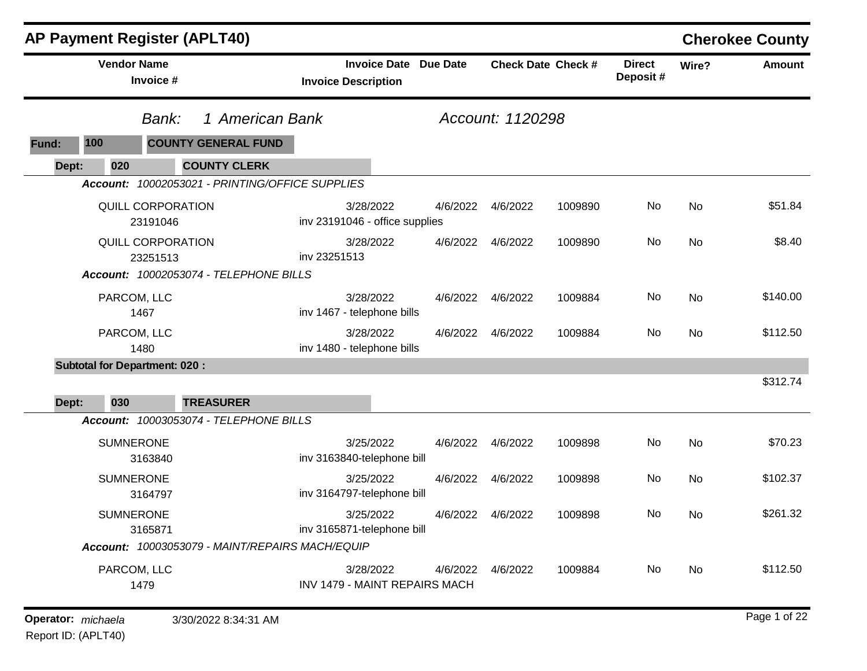|       | <b>AP Payment Register (APLT40)</b>  |                                                 |                                                   |                 |                  |                           |                           |       | <b>Cherokee County</b> |
|-------|--------------------------------------|-------------------------------------------------|---------------------------------------------------|-----------------|------------------|---------------------------|---------------------------|-------|------------------------|
|       | <b>Vendor Name</b><br>Invoice #      |                                                 | <b>Invoice Date</b><br><b>Invoice Description</b> | <b>Due Date</b> |                  | <b>Check Date Check #</b> | <b>Direct</b><br>Deposit# | Wire? | <b>Amount</b>          |
|       | Bank:                                | 1 American Bank                                 |                                                   |                 | Account: 1120298 |                           |                           |       |                        |
| Fund: | 100                                  | <b>COUNTY GENERAL FUND</b>                      |                                                   |                 |                  |                           |                           |       |                        |
| Dept: | 020                                  | <b>COUNTY CLERK</b>                             |                                                   |                 |                  |                           |                           |       |                        |
|       |                                      | Account: 10002053021 - PRINTING/OFFICE SUPPLIES |                                                   |                 |                  |                           |                           |       |                        |
|       | QUILL CORPORATION<br>23191046        |                                                 | 3/28/2022<br>inv 23191046 - office supplies       | 4/6/2022        | 4/6/2022         | 1009890                   | No                        | No    | \$51.84                |
|       | <b>QUILL CORPORATION</b><br>23251513 |                                                 | 3/28/2022<br>inv 23251513                         | 4/6/2022        | 4/6/2022         | 1009890                   | No                        | No    | \$8.40                 |
|       |                                      | Account: 10002053074 - TELEPHONE BILLS          |                                                   |                 |                  |                           |                           |       |                        |
|       | PARCOM, LLC<br>1467                  |                                                 | 3/28/2022<br>inv 1467 - telephone bills           | 4/6/2022        | 4/6/2022         | 1009884                   | No                        | No    | \$140.00               |
|       | PARCOM, LLC<br>1480                  |                                                 | 3/28/2022<br>inv 1480 - telephone bills           | 4/6/2022        | 4/6/2022         | 1009884                   | No                        | No    | \$112.50               |
|       | <b>Subtotal for Department: 020:</b> |                                                 |                                                   |                 |                  |                           |                           |       |                        |
|       |                                      |                                                 |                                                   |                 |                  |                           |                           |       | \$312.74               |
| Dept: | 030                                  | <b>TREASURER</b>                                |                                                   |                 |                  |                           |                           |       |                        |
|       |                                      | Account: 10003053074 - TELEPHONE BILLS          |                                                   |                 |                  |                           |                           |       |                        |
|       | <b>SUMNERONE</b><br>3163840          |                                                 | 3/25/2022<br>inv 3163840-telephone bill           | 4/6/2022        | 4/6/2022         | 1009898                   | No                        | No    | \$70.23                |
|       | <b>SUMNERONE</b><br>3164797          |                                                 | 3/25/2022<br>inv 3164797-telephone bill           | 4/6/2022        | 4/6/2022         | 1009898                   | No                        | No    | \$102.37               |
|       | <b>SUMNERONE</b><br>3165871          |                                                 | 3/25/2022<br>inv 3165871-telephone bill           | 4/6/2022        | 4/6/2022         | 1009898                   | No                        | No    | \$261.32               |
|       |                                      | Account: 10003053079 - MAINT/REPAIRS MACH/EQUIP |                                                   |                 |                  |                           |                           |       |                        |
|       | PARCOM, LLC<br>1479                  |                                                 | 3/28/2022<br>INV 1479 - MAINT REPAIRS MACH        | 4/6/2022        | 4/6/2022         | 1009884                   | No                        | No    | \$112.50               |
|       |                                      |                                                 |                                                   |                 |                  |                           |                           |       |                        |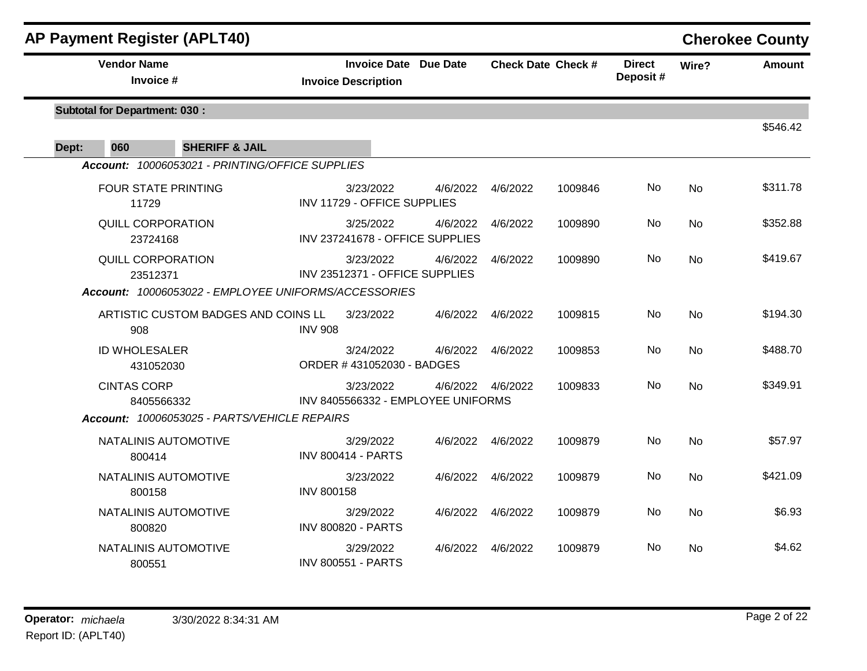|       | <b>AP Payment Register (APLT40)</b>                  |                   |                                                            |          |                    |                           |                           |                | <b>Cherokee County</b> |
|-------|------------------------------------------------------|-------------------|------------------------------------------------------------|----------|--------------------|---------------------------|---------------------------|----------------|------------------------|
|       | <b>Vendor Name</b><br>Invoice #                      |                   | <b>Invoice Date Due Date</b><br><b>Invoice Description</b> |          |                    | <b>Check Date Check #</b> | <b>Direct</b><br>Deposit# | Wire?          | <b>Amount</b>          |
|       | <b>Subtotal for Department: 030:</b>                 |                   |                                                            |          |                    |                           |                           |                | \$546.42               |
| Dept: | 060<br><b>SHERIFF &amp; JAIL</b>                     |                   |                                                            |          |                    |                           |                           |                |                        |
|       | Account: 10006053021 - PRINTING/OFFICE SUPPLIES      |                   |                                                            |          |                    |                           |                           |                |                        |
|       | <b>FOUR STATE PRINTING</b><br>11729                  |                   | 3/23/2022<br>INV 11729 - OFFICE SUPPLIES                   | 4/6/2022 | 4/6/2022           | 1009846                   | No                        | No             | \$311.78               |
|       | <b>QUILL CORPORATION</b><br>23724168                 |                   | 3/25/2022<br>INV 237241678 - OFFICE SUPPLIES               | 4/6/2022 | 4/6/2022           | 1009890                   | No                        | <b>No</b>      | \$352.88               |
|       | <b>QUILL CORPORATION</b><br>23512371                 |                   | 3/23/2022<br>INV 23512371 - OFFICE SUPPLIES                | 4/6/2022 | 4/6/2022           | 1009890                   | No                        | <b>No</b>      | \$419.67               |
|       | Account: 10006053022 - EMPLOYEE UNIFORMS/ACCESSORIES |                   |                                                            |          |                    |                           |                           |                |                        |
|       | ARTISTIC CUSTOM BADGES AND COINS LL<br>908           | <b>INV 908</b>    | 3/23/2022                                                  | 4/6/2022 | 4/6/2022           | 1009815                   | No.                       | <b>No</b>      | \$194.30               |
|       | <b>ID WHOLESALER</b><br>431052030                    |                   | 3/24/2022<br>ORDER #431052030 - BADGES                     | 4/6/2022 | 4/6/2022           | 1009853                   | No.                       | <b>No</b>      | \$488.70               |
|       | <b>CINTAS CORP</b><br>8405566332                     |                   | 3/23/2022<br>INV 8405566332 - EMPLOYEE UNIFORMS            |          | 4/6/2022  4/6/2022 | 1009833                   | <b>No</b>                 | <b>No</b>      | \$349.91               |
|       | Account: 10006053025 - PARTS/VEHICLE REPAIRS         |                   |                                                            |          |                    |                           |                           |                |                        |
|       | NATALINIS AUTOMOTIVE<br>800414                       |                   | 3/29/2022<br><b>INV 800414 - PARTS</b>                     | 4/6/2022 | 4/6/2022           | 1009879                   | No.                       | <b>No</b>      | \$57.97                |
|       | NATALINIS AUTOMOTIVE<br>800158                       | <b>INV 800158</b> | 3/23/2022                                                  | 4/6/2022 | 4/6/2022           | 1009879                   | No.                       | <b>No</b>      | \$421.09               |
|       | NATALINIS AUTOMOTIVE<br>800820                       |                   | 3/29/2022<br><b>INV 800820 - PARTS</b>                     | 4/6/2022 | 4/6/2022           | 1009879                   | <b>No</b>                 | N <sub>0</sub> | \$6.93                 |
|       | NATALINIS AUTOMOTIVE<br>800551                       |                   | 3/29/2022<br><b>INV 800551 - PARTS</b>                     | 4/6/2022 | 4/6/2022           | 1009879                   | No.                       | No             | \$4.62                 |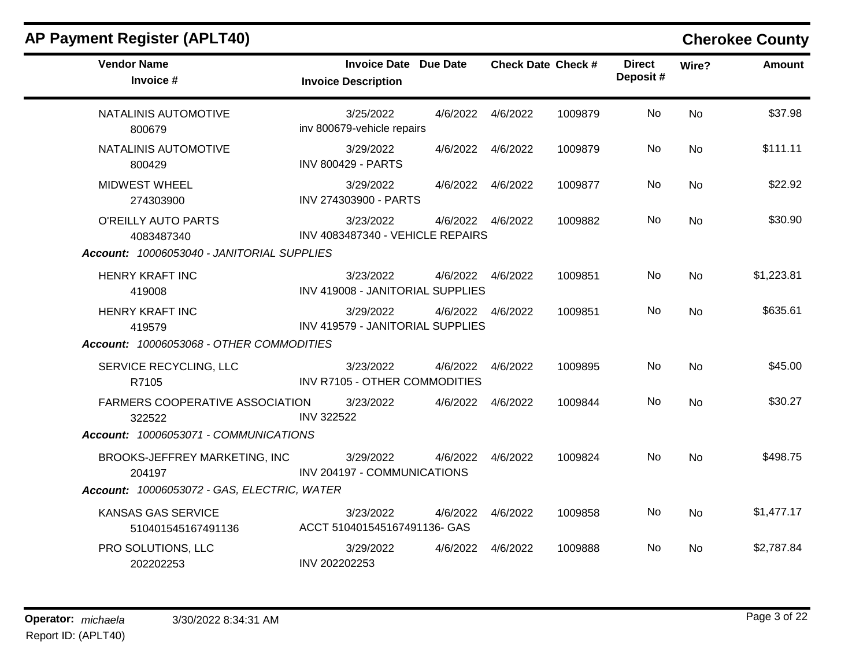| <b>AP Payment Register (APLT40)</b>                                                       |                                                     |                    |                           |         |                           |           | <b>Cherokee County</b> |
|-------------------------------------------------------------------------------------------|-----------------------------------------------------|--------------------|---------------------------|---------|---------------------------|-----------|------------------------|
| <b>Vendor Name</b><br>Invoice #                                                           | Invoice Date Due Date<br><b>Invoice Description</b> |                    | <b>Check Date Check #</b> |         | <b>Direct</b><br>Deposit# | Wire?     | <b>Amount</b>          |
| NATALINIS AUTOMOTIVE<br>800679                                                            | 3/25/2022<br>inv 800679-vehicle repairs             | 4/6/2022  4/6/2022 |                           | 1009879 | No                        | No        | \$37.98                |
| NATALINIS AUTOMOTIVE<br>800429                                                            | 3/29/2022<br><b>INV 800429 - PARTS</b>              | 4/6/2022  4/6/2022 |                           | 1009879 | No                        | <b>No</b> | \$111.11               |
| <b>MIDWEST WHEEL</b><br>274303900                                                         | 3/29/2022<br>INV 274303900 - PARTS                  | 4/6/2022  4/6/2022 |                           | 1009877 | No                        | No        | \$22.92                |
| O'REILLY AUTO PARTS<br>4083487340<br>Account: 10006053040 - JANITORIAL SUPPLIES           | 3/23/2022<br>INV 4083487340 - VEHICLE REPAIRS       | 4/6/2022  4/6/2022 |                           | 1009882 | No.                       | No        | \$30.90                |
| <b>HENRY KRAFT INC</b><br>419008                                                          | 3/23/2022<br>INV 419008 - JANITORIAL SUPPLIES       | 4/6/2022  4/6/2022 |                           | 1009851 | No                        | No        | \$1,223.81             |
| <b>HENRY KRAFT INC</b><br>419579<br>Account: 10006053068 - OTHER COMMODITIES              | 3/29/2022<br>INV 419579 - JANITORIAL SUPPLIES       | 4/6/2022  4/6/2022 |                           | 1009851 | No.                       | <b>No</b> | \$635.61               |
| SERVICE RECYCLING, LLC<br>R7105                                                           | 3/23/2022<br>INV R7105 - OTHER COMMODITIES          | 4/6/2022           | 4/6/2022                  | 1009895 | No                        | <b>No</b> | \$45.00                |
| <b>FARMERS COOPERATIVE ASSOCIATION</b><br>322522<br>Account: 10006053071 - COMMUNICATIONS | 3/23/2022<br><b>INV 322522</b>                      | 4/6/2022           | 4/6/2022                  | 1009844 | No.                       | <b>No</b> | \$30.27                |
| BROOKS-JEFFREY MARKETING, INC<br>204197                                                   | 3/29/2022<br>INV 204197 - COMMUNICATIONS            | 4/6/2022           | 4/6/2022                  | 1009824 | No                        | <b>No</b> | \$498.75               |
| Account: 10006053072 - GAS, ELECTRIC, WATER                                               |                                                     |                    |                           |         |                           |           |                        |
| KANSAS GAS SERVICE<br>510401545167491136                                                  | 3/23/2022<br>ACCT 510401545167491136- GAS           | 4/6/2022           | 4/6/2022                  | 1009858 | No                        | No        | \$1,477.17             |
| PRO SOLUTIONS, LLC<br>202202253                                                           | 3/29/2022<br>INV 202202253                          | 4/6/2022  4/6/2022 |                           | 1009888 | No.                       | No.       | \$2,787.84             |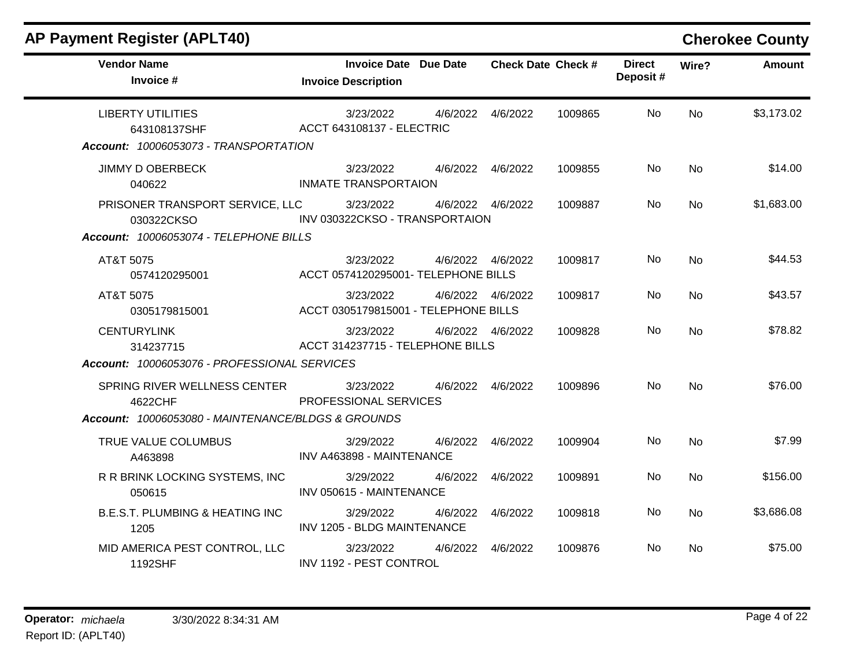| <b>Vendor Name</b><br>Invoice #                    | <b>Invoice Date Due Date</b><br><b>Invoice Description</b> |          | <b>Check Date Check #</b> |         | <b>Direct</b><br>Deposit# | Wire?     | <b>Amount</b> |
|----------------------------------------------------|------------------------------------------------------------|----------|---------------------------|---------|---------------------------|-----------|---------------|
| <b>LIBERTY UTILITIES</b><br>643108137SHF           | 3/23/2022<br><b>ACCT 643108137 - ELECTRIC</b>              | 4/6/2022 | 4/6/2022                  | 1009865 | No                        | <b>No</b> | \$3,173.02    |
| Account: 10006053073 - TRANSPORTATION              |                                                            |          |                           |         |                           |           |               |
| <b>JIMMY D OBERBECK</b><br>040622                  | 3/23/2022<br><b>INMATE TRANSPORTAION</b>                   |          | 4/6/2022  4/6/2022        | 1009855 | <b>No</b>                 | <b>No</b> | \$14.00       |
| PRISONER TRANSPORT SERVICE, LLC<br>030322CKSO      | 3/23/2022<br>INV 030322CKSO - TRANSPORTAION                |          | 4/6/2022  4/6/2022        | 1009887 | No.                       | <b>No</b> | \$1,683.00    |
| Account: 10006053074 - TELEPHONE BILLS             |                                                            |          |                           |         |                           |           |               |
| AT&T 5075<br>0574120295001                         | 3/23/2022<br>ACCT 0574120295001- TELEPHONE BILLS           |          | 4/6/2022 4/6/2022         | 1009817 | No.                       | <b>No</b> | \$44.53       |
| AT&T 5075<br>0305179815001                         | 3/23/2022<br>ACCT 0305179815001 - TELEPHONE BILLS          |          | 4/6/2022 4/6/2022         | 1009817 | No                        | <b>No</b> | \$43.57       |
| <b>CENTURYLINK</b><br>314237715                    | 3/23/2022<br>ACCT 314237715 - TELEPHONE BILLS              |          | 4/6/2022  4/6/2022        | 1009828 | No                        | No        | \$78.82       |
| Account: 10006053076 - PROFESSIONAL SERVICES       |                                                            |          |                           |         |                           |           |               |
| SPRING RIVER WELLNESS CENTER<br>4622CHF            | 3/23/2022<br>PROFESSIONAL SERVICES                         | 4/6/2022 | 4/6/2022                  | 1009896 | No                        | No        | \$76.00       |
| Account: 10006053080 - MAINTENANCE/BLDGS & GROUNDS |                                                            |          |                           |         |                           |           |               |
| TRUE VALUE COLUMBUS<br>A463898                     | 3/29/2022<br>INV A463898 - MAINTENANCE                     | 4/6/2022 | 4/6/2022                  | 1009904 | No                        | <b>No</b> | \$7.99        |
| R R BRINK LOCKING SYSTEMS, INC<br>050615           | 3/29/2022<br>INV 050615 - MAINTENANCE                      | 4/6/2022 | 4/6/2022                  | 1009891 | No                        | No        | \$156.00      |
| <b>B.E.S.T. PLUMBING &amp; HEATING INC</b><br>1205 | 3/29/2022<br>INV 1205 - BLDG MAINTENANCE                   | 4/6/2022 | 4/6/2022                  | 1009818 | No                        | No        | \$3,686.08    |
| MID AMERICA PEST CONTROL, LLC<br>1192SHF           | 3/23/2022<br>INV 1192 - PEST CONTROL                       | 4/6/2022 | 4/6/2022                  | 1009876 | No.                       | No        | \$75.00       |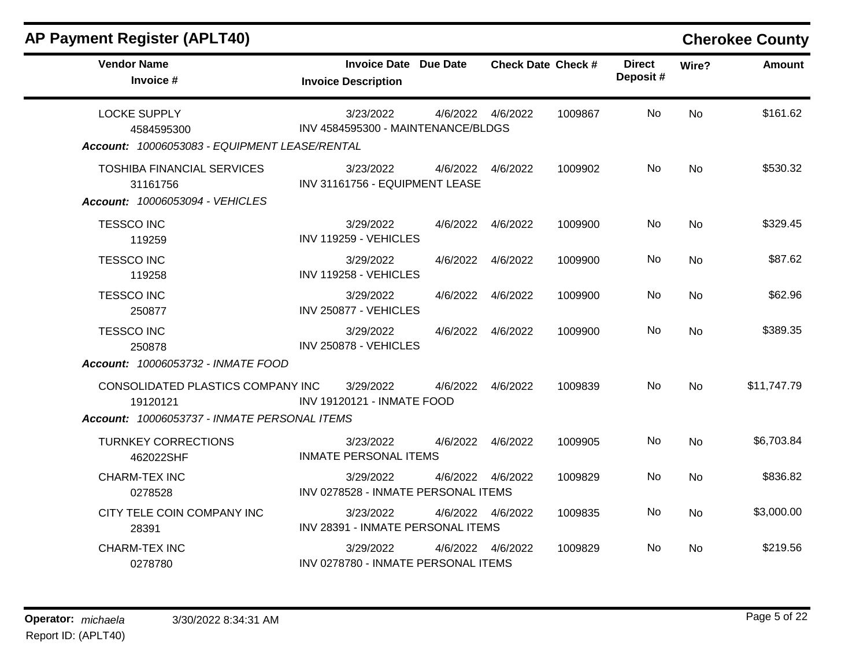| <b>AP Payment Register (APLT40)</b>                                                           |                                                            |          |                    |                           |                            |           | <b>Cherokee County</b> |
|-----------------------------------------------------------------------------------------------|------------------------------------------------------------|----------|--------------------|---------------------------|----------------------------|-----------|------------------------|
| <b>Vendor Name</b><br>Invoice #                                                               | <b>Invoice Date Due Date</b><br><b>Invoice Description</b> |          |                    | <b>Check Date Check #</b> | <b>Direct</b><br>Deposit # | Wire?     | <b>Amount</b>          |
| <b>LOCKE SUPPLY</b><br>4584595300<br>Account: 10006053083 - EQUIPMENT LEASE/RENTAL            | 3/23/2022<br>INV 4584595300 - MAINTENANCE/BLDGS            |          | 4/6/2022  4/6/2022 | 1009867                   | No.                        | <b>No</b> | \$161.62               |
| <b>TOSHIBA FINANCIAL SERVICES</b><br>31161756<br>Account: 10006053094 - VEHICLES              | 3/23/2022<br>INV 31161756 - EQUIPMENT LEASE                | 4/6/2022 | 4/6/2022           | 1009902                   | No                         | <b>No</b> | \$530.32               |
| <b>TESSCO INC</b><br>119259                                                                   | 3/29/2022<br>INV 119259 - VEHICLES                         |          | 4/6/2022  4/6/2022 | 1009900                   | No                         | <b>No</b> | \$329.45               |
| <b>TESSCO INC</b><br>119258                                                                   | 3/29/2022<br>INV 119258 - VEHICLES                         | 4/6/2022 | 4/6/2022           | 1009900                   | No.                        | <b>No</b> | \$87.62                |
| <b>TESSCO INC</b><br>250877                                                                   | 3/29/2022<br>INV 250877 - VEHICLES                         | 4/6/2022 | 4/6/2022           | 1009900                   | No.                        | No        | \$62.96                |
| <b>TESSCO INC</b><br>250878<br>Account: 10006053732 - INMATE FOOD                             | 3/29/2022<br>INV 250878 - VEHICLES                         |          | 4/6/2022  4/6/2022 | 1009900                   | No.                        | <b>No</b> | \$389.35               |
| CONSOLIDATED PLASTICS COMPANY INC<br>19120121<br>Account: 10006053737 - INMATE PERSONAL ITEMS | 3/29/2022<br><b>INV 19120121 - INMATE FOOD</b>             | 4/6/2022 | 4/6/2022           | 1009839                   | No.                        | No        | \$11,747.79            |
| <b>TURNKEY CORRECTIONS</b><br>462022SHF                                                       | 3/23/2022<br><b>INMATE PERSONAL ITEMS</b>                  |          | 4/6/2022  4/6/2022 | 1009905                   | No                         | <b>No</b> | \$6,703.84             |
| CHARM-TEX INC<br>0278528                                                                      | 3/29/2022<br>INV 0278528 - INMATE PERSONAL ITEMS           | 4/6/2022 | 4/6/2022           | 1009829                   | No.                        | No        | \$836.82               |
| CITY TELE COIN COMPANY INC<br>28391                                                           | 3/23/2022<br>INV 28391 - INMATE PERSONAL ITEMS             |          | 4/6/2022  4/6/2022 | 1009835                   | No                         | <b>No</b> | \$3,000.00             |
| CHARM-TEX INC<br>0278780                                                                      | 3/29/2022<br>INV 0278780 - INMATE PERSONAL ITEMS           | 4/6/2022 | 4/6/2022           | 1009829                   | No.                        | No        | \$219.56               |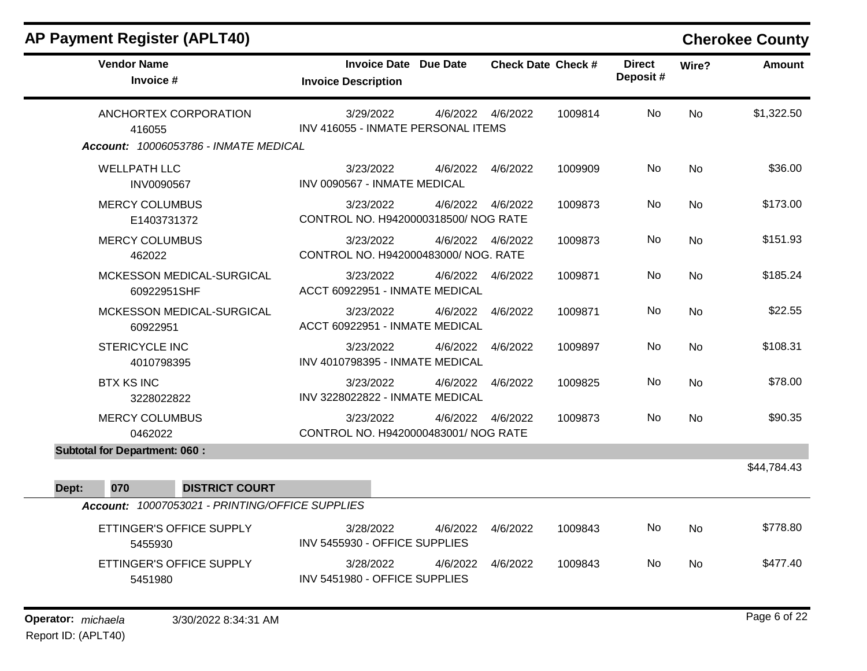| <b>AP Payment Register (APLT40)</b>             |                                                            |          |                    |                           |                           |           | <b>Cherokee County</b> |
|-------------------------------------------------|------------------------------------------------------------|----------|--------------------|---------------------------|---------------------------|-----------|------------------------|
| <b>Vendor Name</b><br>Invoice #                 | <b>Invoice Date Due Date</b><br><b>Invoice Description</b> |          |                    | <b>Check Date Check #</b> | <b>Direct</b><br>Deposit# | Wire?     | <b>Amount</b>          |
| ANCHORTEX CORPORATION<br>416055                 | 3/29/2022<br>INV 416055 - INMATE PERSONAL ITEMS            | 4/6/2022 | 4/6/2022           | 1009814                   | No.                       | <b>No</b> | \$1,322.50             |
| Account: 10006053786 - INMATE MEDICAL           |                                                            |          |                    |                           |                           |           |                        |
| <b>WELLPATH LLC</b><br>INV0090567               | 3/23/2022<br>INV 0090567 - INMATE MEDICAL                  | 4/6/2022 | 4/6/2022           | 1009909                   | No                        | <b>No</b> | \$36.00                |
| <b>MERCY COLUMBUS</b><br>E1403731372            | 3/23/2022<br>CONTROL NO. H9420000318500/ NOG RATE          | 4/6/2022 | 4/6/2022           | 1009873                   | No                        | <b>No</b> | \$173.00               |
| <b>MERCY COLUMBUS</b><br>462022                 | 3/23/2022<br>CONTROL NO. H942000483000/ NOG. RATE          |          | 4/6/2022 4/6/2022  | 1009873                   | No                        | <b>No</b> | \$151.93               |
| MCKESSON MEDICAL-SURGICAL<br>60922951SHF        | 3/23/2022<br>ACCT 60922951 - INMATE MEDICAL                | 4/6/2022 | 4/6/2022           | 1009871                   | No                        | <b>No</b> | \$185.24               |
| MCKESSON MEDICAL-SURGICAL<br>60922951           | 3/23/2022<br>ACCT 60922951 - INMATE MEDICAL                | 4/6/2022 | 4/6/2022           | 1009871                   | No                        | <b>No</b> | \$22.55                |
| <b>STERICYCLE INC</b><br>4010798395             | 3/23/2022<br>INV 4010798395 - INMATE MEDICAL               | 4/6/2022 | 4/6/2022           | 1009897                   | No                        | <b>No</b> | \$108.31               |
| <b>BTX KS INC</b><br>3228022822                 | 3/23/2022<br>INV 3228022822 - INMATE MEDICAL               |          | 4/6/2022  4/6/2022 | 1009825                   | No.                       | <b>No</b> | \$78.00                |
| <b>MERCY COLUMBUS</b><br>0462022                | 3/23/2022<br>CONTROL NO. H9420000483001/ NOG RATE          | 4/6/2022 | 4/6/2022           | 1009873                   | No.                       | <b>No</b> | \$90.35                |
| <b>Subtotal for Department: 060:</b>            |                                                            |          |                    |                           |                           |           |                        |
|                                                 |                                                            |          |                    |                           |                           |           | \$44,784.43            |
| <b>DISTRICT COURT</b><br>Dept:<br>070           |                                                            |          |                    |                           |                           |           |                        |
| Account: 10007053021 - PRINTING/OFFICE SUPPLIES |                                                            |          |                    |                           |                           |           |                        |
| ETTINGER'S OFFICE SUPPLY<br>5455930             | 3/28/2022<br>INV 5455930 - OFFICE SUPPLIES                 | 4/6/2022 | 4/6/2022           | 1009843                   | No                        | <b>No</b> | \$778.80               |
| ETTINGER'S OFFICE SUPPLY<br>5451980             | 3/28/2022<br>INV 5451980 - OFFICE SUPPLIES                 | 4/6/2022 | 4/6/2022           | 1009843                   | No.                       | <b>No</b> | \$477.40               |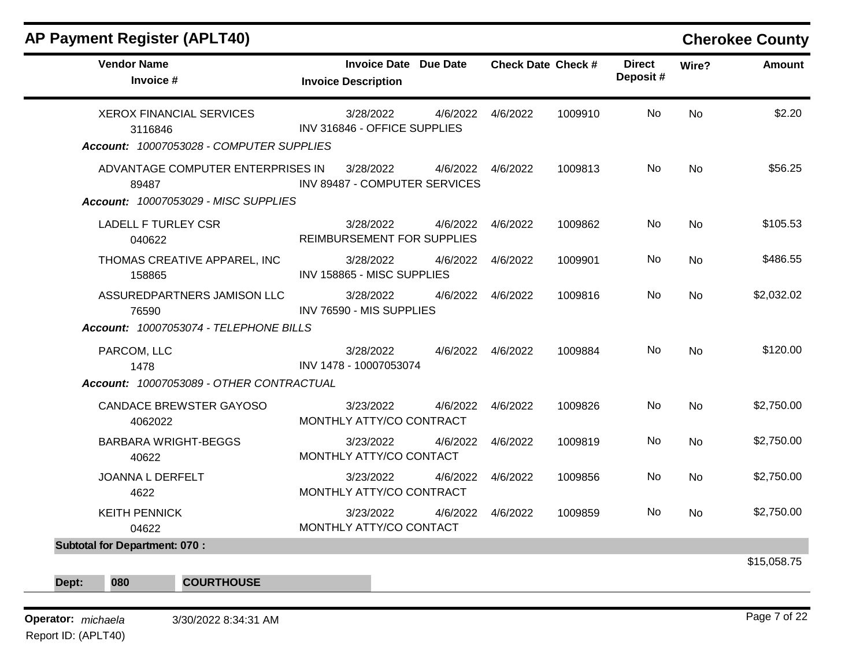| <b>AP Payment Register (APLT40)</b>                                                    |                                                            |          |          |                           |                           |           | <b>Cherokee County</b> |
|----------------------------------------------------------------------------------------|------------------------------------------------------------|----------|----------|---------------------------|---------------------------|-----------|------------------------|
| <b>Vendor Name</b><br>Invoice #                                                        | <b>Invoice Date Due Date</b><br><b>Invoice Description</b> |          |          | <b>Check Date Check #</b> | <b>Direct</b><br>Deposit# | Wire?     | Amount                 |
| <b>XEROX FINANCIAL SERVICES</b><br>3116846<br>Account: 10007053028 - COMPUTER SUPPLIES | 3/28/2022<br>INV 316846 - OFFICE SUPPLIES                  | 4/6/2022 | 4/6/2022 | 1009910                   | No.                       | <b>No</b> | \$2.20                 |
| ADVANTAGE COMPUTER ENTERPRISES IN<br>89487<br>Account: 10007053029 - MISC SUPPLIES     | 3/28/2022<br>INV 89487 - COMPUTER SERVICES                 | 4/6/2022 | 4/6/2022 | 1009813                   | No.                       | <b>No</b> | \$56.25                |
| <b>LADELL F TURLEY CSR</b><br>040622                                                   | 3/28/2022<br>REIMBURSEMENT FOR SUPPLIES                    | 4/6/2022 | 4/6/2022 | 1009862                   | No                        | <b>No</b> | \$105.53               |
| THOMAS CREATIVE APPAREL, INC<br>158865                                                 | 3/28/2022<br>INV 158865 - MISC SUPPLIES                    | 4/6/2022 | 4/6/2022 | 1009901                   | No.                       | <b>No</b> | \$486.55               |
| ASSUREDPARTNERS JAMISON LLC<br>76590<br>Account: 10007053074 - TELEPHONE BILLS         | 3/28/2022<br>INV 76590 - MIS SUPPLIES                      | 4/6/2022 | 4/6/2022 | 1009816                   | No.                       | <b>No</b> | \$2,032.02             |
| PARCOM, LLC<br>1478<br>Account: 10007053089 - OTHER CONTRACTUAL                        | 3/28/2022<br>INV 1478 - 10007053074                        | 4/6/2022 | 4/6/2022 | 1009884                   | <b>No</b>                 | <b>No</b> | \$120.00               |
| CANDACE BREWSTER GAYOSO<br>4062022                                                     | 3/23/2022<br>MONTHLY ATTY/CO CONTRACT                      | 4/6/2022 | 4/6/2022 | 1009826                   | <b>No</b>                 | <b>No</b> | \$2,750.00             |
| <b>BARBARA WRIGHT-BEGGS</b><br>40622                                                   | 3/23/2022<br>MONTHLY ATTY/CO CONTACT                       | 4/6/2022 | 4/6/2022 | 1009819                   | No                        | <b>No</b> | \$2,750.00             |
| <b>JOANNA L DERFELT</b><br>4622                                                        | 3/23/2022<br>MONTHLY ATTY/CO CONTRACT                      | 4/6/2022 | 4/6/2022 | 1009856                   | <b>No</b>                 | <b>No</b> | \$2,750.00             |
| <b>KEITH PENNICK</b><br>04622                                                          | 3/23/2022<br>MONTHLY ATTY/CO CONTACT                       | 4/6/2022 | 4/6/2022 | 1009859                   | No                        | <b>No</b> | \$2,750.00             |

**Dept: 080 COURTHOUSE**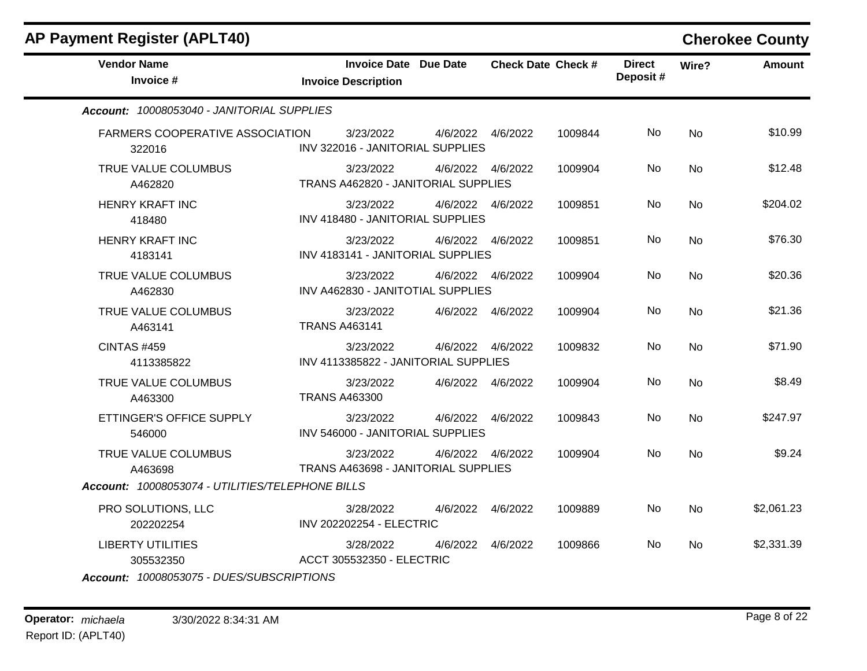| <b>AP Payment Register (APLT40)</b>              |                                                            |          |                    |                           |                            |           | <b>Cherokee County</b> |
|--------------------------------------------------|------------------------------------------------------------|----------|--------------------|---------------------------|----------------------------|-----------|------------------------|
| <b>Vendor Name</b><br>Invoice #                  | <b>Invoice Date Due Date</b><br><b>Invoice Description</b> |          |                    | <b>Check Date Check #</b> | <b>Direct</b><br>Deposit # | Wire?     | <b>Amount</b>          |
| Account: 10008053040 - JANITORIAL SUPPLIES       |                                                            |          |                    |                           |                            |           |                        |
| <b>FARMERS COOPERATIVE ASSOCIATION</b><br>322016 | 3/23/2022<br>INV 322016 - JANITORIAL SUPPLIES              |          | 4/6/2022  4/6/2022 | 1009844                   | No.                        | <b>No</b> | \$10.99                |
| TRUE VALUE COLUMBUS<br>A462820                   | 3/23/2022<br>TRANS A462820 - JANITORIAL SUPPLIES           |          | 4/6/2022  4/6/2022 | 1009904                   | No.                        | <b>No</b> | \$12.48                |
| <b>HENRY KRAFT INC</b><br>418480                 | 3/23/2022<br>INV 418480 - JANITORIAL SUPPLIES              |          | 4/6/2022 4/6/2022  | 1009851                   | No.                        | No        | \$204.02               |
| <b>HENRY KRAFT INC</b><br>4183141                | 3/23/2022<br>INV 4183141 - JANITORIAL SUPPLIES             |          | 4/6/2022  4/6/2022 | 1009851                   | No                         | <b>No</b> | \$76.30                |
| TRUE VALUE COLUMBUS<br>A462830                   | 3/23/2022<br>INV A462830 - JANITOTIAL SUPPLIES             |          | 4/6/2022  4/6/2022 | 1009904                   | No                         | No        | \$20.36                |
| TRUE VALUE COLUMBUS<br>A463141                   | 3/23/2022<br><b>TRANS A463141</b>                          |          | 4/6/2022  4/6/2022 | 1009904                   | No.                        | <b>No</b> | \$21.36                |
| <b>CINTAS #459</b><br>4113385822                 | 3/23/2022<br>INV 4113385822 - JANITORIAL SUPPLIES          |          | 4/6/2022  4/6/2022 | 1009832                   | No.                        | No        | \$71.90                |
| TRUE VALUE COLUMBUS<br>A463300                   | 3/23/2022<br><b>TRANS A463300</b>                          |          | 4/6/2022  4/6/2022 | 1009904                   | No                         | <b>No</b> | \$8.49                 |
| ETTINGER'S OFFICE SUPPLY<br>546000               | 3/23/2022<br>INV 546000 - JANITORIAL SUPPLIES              |          | 4/6/2022 4/6/2022  | 1009843                   | No.                        | <b>No</b> | \$247.97               |
| TRUE VALUE COLUMBUS<br>A463698                   | 3/23/2022<br>TRANS A463698 - JANITORIAL SUPPLIES           |          | 4/6/2022 4/6/2022  | 1009904                   | No.                        | No        | \$9.24                 |
| Account: 10008053074 - UTILITIES/TELEPHONE BILLS |                                                            |          |                    |                           |                            |           |                        |
| PRO SOLUTIONS, LLC<br>202202254                  | 3/28/2022<br><b>INV 202202254 - ELECTRIC</b>               |          | 4/6/2022  4/6/2022 | 1009889                   | No.                        | No        | \$2,061.23             |
| <b>LIBERTY UTILITIES</b><br>305532350            | 3/28/2022<br>ACCT 305532350 - ELECTRIC                     | 4/6/2022 | 4/6/2022           | 1009866                   | No                         | <b>No</b> | \$2,331.39             |

*Account: 10008053075 - DUES/SUBSCRIPTIONS*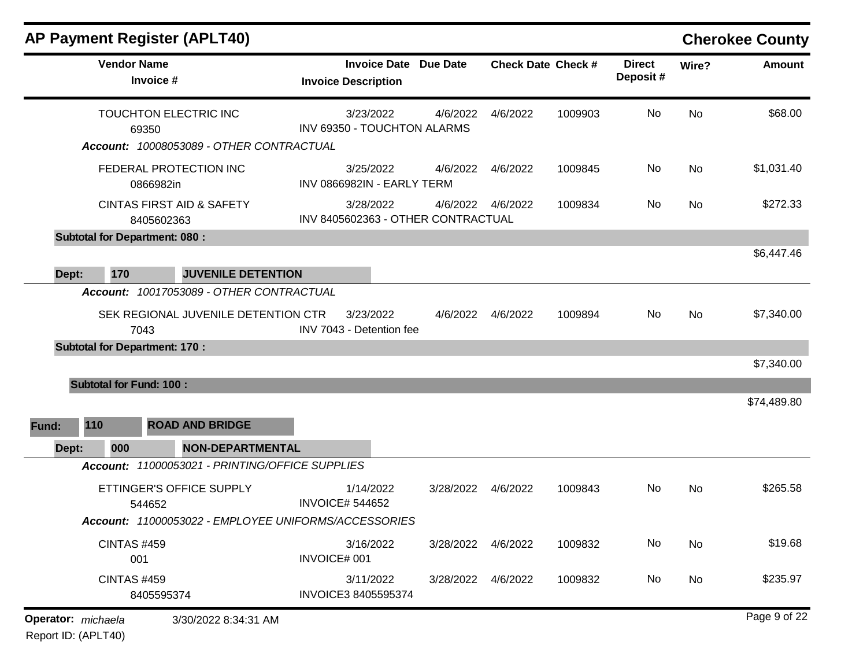| <b>Vendor Name</b><br>Invoice #                                                                                                               | <b>Invoice Date Due Date</b><br><b>Invoice Description</b> |                    |          | <b>Check Date Check #</b> | <b>Direct</b><br>Deposit# | Wire?     | <b>Amount</b> |
|-----------------------------------------------------------------------------------------------------------------------------------------------|------------------------------------------------------------|--------------------|----------|---------------------------|---------------------------|-----------|---------------|
| TOUCHTON ELECTRIC INC<br>69350<br>Account: 10008053089 - OTHER CONTRACTUAL                                                                    | 3/23/2022<br>INV 69350 - TOUCHTON ALARMS                   | 4/6/2022           | 4/6/2022 | 1009903                   | No.                       | <b>No</b> | \$68.00       |
| FEDERAL PROTECTION INC<br>0866982in                                                                                                           | 3/25/2022<br>INV 0866982IN - EARLY TERM                    | 4/6/2022           | 4/6/2022 | 1009845                   | No                        | <b>No</b> | \$1,031.40    |
| <b>CINTAS FIRST AID &amp; SAFETY</b><br>8405602363                                                                                            | 3/28/2022<br>INV 8405602363 - OTHER CONTRACTUAL            | 4/6/2022  4/6/2022 |          | 1009834                   | No.                       | <b>No</b> | \$272.33      |
| <b>Subtotal for Department: 080:</b>                                                                                                          |                                                            |                    |          |                           |                           |           |               |
| 170<br><b>JUVENILE DETENTION</b><br>Dept:                                                                                                     |                                                            |                    |          |                           |                           |           | \$6,447.46    |
| Account: 10017053089 - OTHER CONTRACTUAL<br>SEK REGIONAL JUVENILE DETENTION CTR<br>7043<br><b>Subtotal for Department: 170:</b>               | 3/23/2022<br>INV 7043 - Detention fee                      | 4/6/2022           | 4/6/2022 | 1009894                   | No                        | <b>No</b> | \$7,340.00    |
|                                                                                                                                               |                                                            |                    |          |                           |                           |           | \$7,340.00    |
| <b>Subtotal for Fund: 100:</b><br>110<br><b>ROAD AND BRIDGE</b><br>Fund:                                                                      |                                                            |                    |          |                           |                           |           | \$74,489.80   |
| Dept:<br>000<br><b>NON-DEPARTMENTAL</b>                                                                                                       |                                                            |                    |          |                           |                           |           |               |
| Account: 11000053021 - PRINTING/OFFICE SUPPLIES<br>ETTINGER'S OFFICE SUPPLY<br>544652<br>Account: 11000053022 - EMPLOYEE UNIFORMS/ACCESSORIES | 1/14/2022<br><b>INVOICE# 544652</b>                        | 3/28/2022 4/6/2022 |          | 1009843                   | No                        | <b>No</b> | \$265.58      |
| <b>CINTAS #459</b><br>001                                                                                                                     | 3/16/2022<br>INVOICE# 001                                  | 3/28/2022          | 4/6/2022 | 1009832                   | No                        | <b>No</b> | \$19.68       |
| <b>CINTAS #459</b><br>8405595374                                                                                                              | 3/11/2022<br>INVOICE3 8405595374                           | 3/28/2022 4/6/2022 |          | 1009832                   | No                        | No        | \$235.97      |
| <b>Operator:</b> michaela<br>3/30/2022 8:34:31 AM                                                                                             |                                                            |                    |          |                           |                           |           | Page 9 of 22  |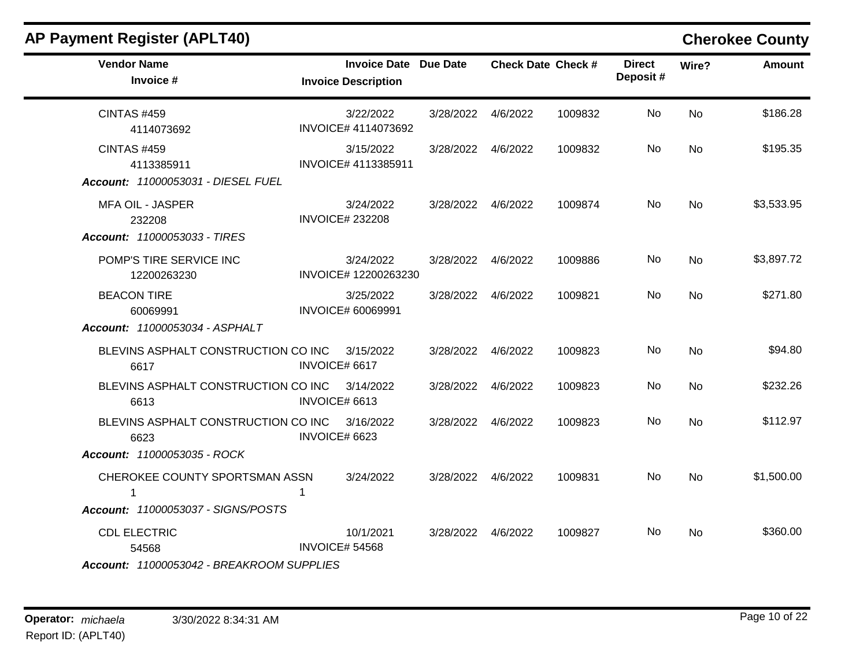| <b>AP Payment Register (APLT40)</b>                                                  |                                                     |                    |          |                           |                           |           | <b>Cherokee County</b> |
|--------------------------------------------------------------------------------------|-----------------------------------------------------|--------------------|----------|---------------------------|---------------------------|-----------|------------------------|
| <b>Vendor Name</b><br>Invoice #                                                      | Invoice Date Due Date<br><b>Invoice Description</b> |                    |          | <b>Check Date Check #</b> | <b>Direct</b><br>Deposit# | Wire?     | <b>Amount</b>          |
| <b>CINTAS #459</b><br>4114073692                                                     | 3/22/2022<br>INVOICE# 4114073692                    | 3/28/2022          | 4/6/2022 | 1009832                   | No                        | <b>No</b> | \$186.28               |
| <b>CINTAS #459</b><br>4113385911<br>Account: 11000053031 - DIESEL FUEL               | 3/15/2022<br>INVOICE# 4113385911                    | 3/28/2022          | 4/6/2022 | 1009832                   | No.                       | <b>No</b> | \$195.35               |
| <b>MFA OIL - JASPER</b><br>232208<br>Account: 11000053033 - TIRES                    | 3/24/2022<br><b>INVOICE# 232208</b>                 | 3/28/2022          | 4/6/2022 | 1009874                   | No                        | <b>No</b> | \$3,533.95             |
| POMP'S TIRE SERVICE INC<br>12200263230                                               | 3/24/2022<br>INVOICE# 12200263230                   | 3/28/2022 4/6/2022 |          | 1009886                   | No.                       | <b>No</b> | \$3,897.72             |
| <b>BEACON TIRE</b><br>60069991<br>Account: 11000053034 - ASPHALT                     | 3/25/2022<br><b>INVOICE# 60069991</b>               | 3/28/2022          | 4/6/2022 | 1009821                   | No                        | <b>No</b> | \$271.80               |
| BLEVINS ASPHALT CONSTRUCTION CO INC<br>6617                                          | 3/15/2022<br>INVOICE# 6617                          | 3/28/2022          | 4/6/2022 | 1009823                   | No                        | <b>No</b> | \$94.80                |
| BLEVINS ASPHALT CONSTRUCTION CO INC<br>6613                                          | 3/14/2022<br>INVOICE# 6613                          | 3/28/2022          | 4/6/2022 | 1009823                   | No                        | <b>No</b> | \$232.26               |
| BLEVINS ASPHALT CONSTRUCTION CO INC<br>6623<br>Account: 11000053035 - ROCK           | 3/16/2022<br>INVOICE# 6623                          | 3/28/2022          | 4/6/2022 | 1009823                   | No.                       | <b>No</b> | \$112.97               |
| CHEROKEE COUNTY SPORTSMAN ASSN<br>$\mathbf{1}$<br>Account: 11000053037 - SIGNS/POSTS | 3/24/2022<br>1                                      | 3/28/2022 4/6/2022 |          | 1009831                   | No.                       | <b>No</b> | \$1,500.00             |
| <b>CDL ELECTRIC</b><br>54568<br>Account: 11000053042 - BREAKROOM SUPPLIES            | 10/1/2021<br><b>INVOICE# 54568</b>                  | 3/28/2022 4/6/2022 |          | 1009827                   | No.                       | <b>No</b> | \$360.00               |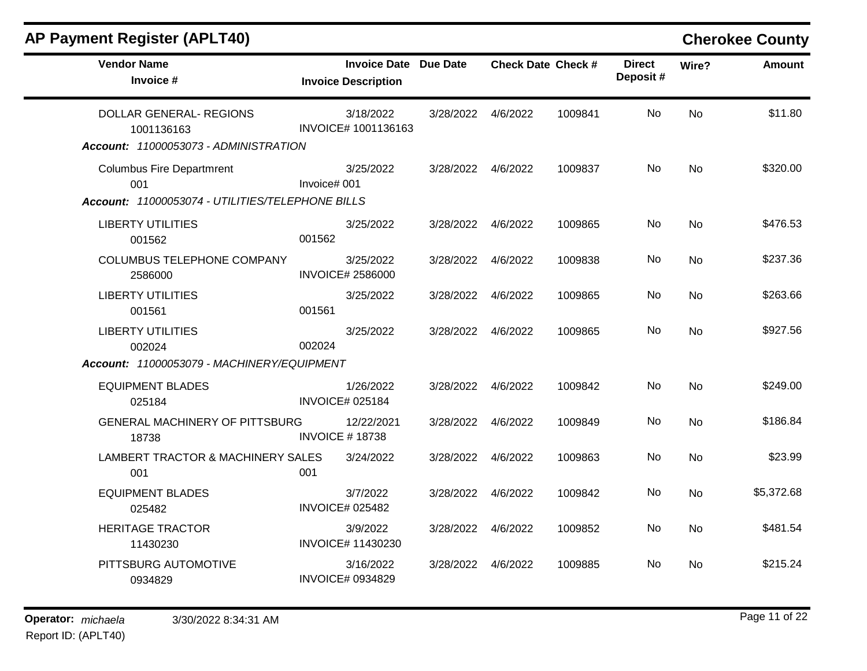|  | <b>AP Payment Register (APLT40)</b> |  |  |  |
|--|-------------------------------------|--|--|--|
|--|-------------------------------------|--|--|--|

## **Cherokee County**

| <b>Vendor Name</b><br>Invoice #                                                |              | <b>Invoice Date Due Date</b><br><b>Invoice Description</b> |                    |          | <b>Check Date Check #</b> | <b>Direct</b><br>Deposit# | Wire?     | <b>Amount</b> |
|--------------------------------------------------------------------------------|--------------|------------------------------------------------------------|--------------------|----------|---------------------------|---------------------------|-----------|---------------|
| DOLLAR GENERAL- REGIONS<br>1001136163<br>Account: 11000053073 - ADMINISTRATION |              | 3/18/2022<br>INVOICE# 1001136163                           | 3/28/2022          | 4/6/2022 | 1009841                   | No.                       | No        | \$11.80       |
| <b>Columbus Fire Departmrent</b><br>001                                        | Invoice# 001 | 3/25/2022                                                  | 3/28/2022 4/6/2022 |          | 1009837                   | No                        | No        | \$320.00      |
| Account: 11000053074 - UTILITIES/TELEPHONE BILLS                               |              |                                                            |                    |          |                           |                           |           | \$476.53      |
| <b>LIBERTY UTILITIES</b><br>001562                                             | 001562       | 3/25/2022                                                  | 3/28/2022          | 4/6/2022 | 1009865                   | No                        | No        |               |
| COLUMBUS TELEPHONE COMPANY<br>2586000                                          |              | 3/25/2022<br><b>INVOICE# 2586000</b>                       | 3/28/2022          | 4/6/2022 | 1009838                   | No                        | No        | \$237.36      |
| <b>LIBERTY UTILITIES</b><br>001561                                             | 001561       | 3/25/2022                                                  | 3/28/2022          | 4/6/2022 | 1009865                   | No                        | No.       | \$263.66      |
| <b>LIBERTY UTILITIES</b><br>002024                                             | 002024       | 3/25/2022                                                  | 3/28/2022          | 4/6/2022 | 1009865                   | No                        | <b>No</b> | \$927.56      |
| Account: 11000053079 - MACHINERY/EQUIPMENT                                     |              |                                                            |                    |          |                           |                           |           |               |
| <b>EQUIPMENT BLADES</b><br>025184                                              |              | 1/26/2022<br><b>INVOICE# 025184</b>                        | 3/28/2022          | 4/6/2022 | 1009842                   | No                        | <b>No</b> | \$249.00      |
| <b>GENERAL MACHINERY OF PITTSBURG</b><br>18738                                 |              | 12/22/2021<br><b>INVOICE #18738</b>                        | 3/28/2022          | 4/6/2022 | 1009849                   | No                        | No        | \$186.84      |
| LAMBERT TRACTOR & MACHINERY SALES<br>001                                       | 001          | 3/24/2022                                                  | 3/28/2022          | 4/6/2022 | 1009863                   | No                        | No        | \$23.99       |
| <b>EQUIPMENT BLADES</b><br>025482                                              |              | 3/7/2022<br><b>INVOICE# 025482</b>                         | 3/28/2022          | 4/6/2022 | 1009842                   | No                        | No.       | \$5,372.68    |
| <b>HERITAGE TRACTOR</b><br>11430230                                            |              | 3/9/2022<br><b>INVOICE# 11430230</b>                       | 3/28/2022          | 4/6/2022 | 1009852                   | No                        | <b>No</b> | \$481.54      |
| PITTSBURG AUTOMOTIVE<br>0934829                                                |              | 3/16/2022<br><b>INVOICE# 0934829</b>                       | 3/28/2022          | 4/6/2022 | 1009885                   | No                        | No.       | \$215.24      |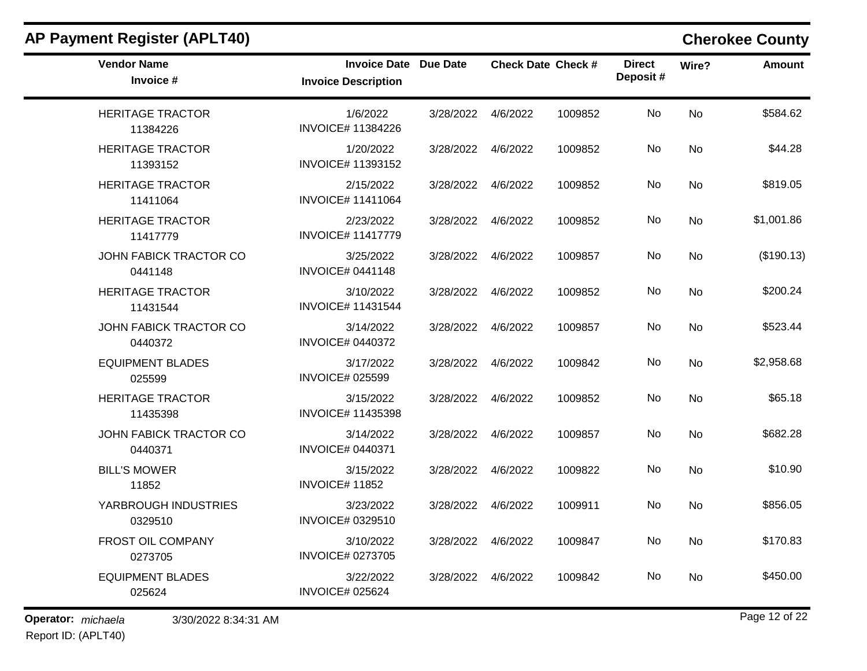| <b>AP Payment Register (APLT40)</b> |                                                            |                    |          |                           |                           |           | <b>Cherokee County</b> |
|-------------------------------------|------------------------------------------------------------|--------------------|----------|---------------------------|---------------------------|-----------|------------------------|
| <b>Vendor Name</b><br>Invoice #     | <b>Invoice Date Due Date</b><br><b>Invoice Description</b> |                    |          | <b>Check Date Check #</b> | <b>Direct</b><br>Deposit# | Wire?     | <b>Amount</b>          |
| <b>HERITAGE TRACTOR</b><br>11384226 | 1/6/2022<br><b>INVOICE# 11384226</b>                       | 3/28/2022          | 4/6/2022 | 1009852                   | No                        | <b>No</b> | \$584.62               |
| <b>HERITAGE TRACTOR</b><br>11393152 | 1/20/2022<br><b>INVOICE# 11393152</b>                      | 3/28/2022          | 4/6/2022 | 1009852                   | No                        | <b>No</b> | \$44.28                |
| <b>HERITAGE TRACTOR</b><br>11411064 | 2/15/2022<br><b>INVOICE# 11411064</b>                      | 3/28/2022          | 4/6/2022 | 1009852                   | No                        | No        | \$819.05               |
| <b>HERITAGE TRACTOR</b><br>11417779 | 2/23/2022<br><b>INVOICE# 11417779</b>                      | 3/28/2022          | 4/6/2022 | 1009852                   | No                        | <b>No</b> | \$1,001.86             |
| JOHN FABICK TRACTOR CO<br>0441148   | 3/25/2022<br><b>INVOICE# 0441148</b>                       | 3/28/2022          | 4/6/2022 | 1009857                   | No                        | <b>No</b> | (\$190.13)             |
| <b>HERITAGE TRACTOR</b><br>11431544 | 3/10/2022<br><b>INVOICE# 11431544</b>                      | 3/28/2022          | 4/6/2022 | 1009852                   | No                        | No        | \$200.24               |
| JOHN FABICK TRACTOR CO<br>0440372   | 3/14/2022<br><b>INVOICE# 0440372</b>                       | 3/28/2022          | 4/6/2022 | 1009857                   | No                        | No        | \$523.44               |
| <b>EQUIPMENT BLADES</b><br>025599   | 3/17/2022<br><b>INVOICE# 025599</b>                        | 3/28/2022          | 4/6/2022 | 1009842                   | No                        | <b>No</b> | \$2,958.68             |
| <b>HERITAGE TRACTOR</b><br>11435398 | 3/15/2022<br><b>INVOICE# 11435398</b>                      | 3/28/2022          | 4/6/2022 | 1009852                   | No                        | No        | \$65.18                |
| JOHN FABICK TRACTOR CO<br>0440371   | 3/14/2022<br><b>INVOICE# 0440371</b>                       | 3/28/2022          | 4/6/2022 | 1009857                   | No                        | No        | \$682.28               |
| <b>BILL'S MOWER</b><br>11852        | 3/15/2022<br><b>INVOICE#11852</b>                          | 3/28/2022          | 4/6/2022 | 1009822                   | No                        | No        | \$10.90                |
| YARBROUGH INDUSTRIES<br>0329510     | 3/23/2022<br>INVOICE# 0329510                              | 3/28/2022          | 4/6/2022 | 1009911                   | No                        | No        | \$856.05               |
| <b>FROST OIL COMPANY</b><br>0273705 | 3/10/2022<br><b>INVOICE# 0273705</b>                       | 3/28/2022 4/6/2022 |          | 1009847                   | No                        | No        | \$170.83               |
| <b>EQUIPMENT BLADES</b><br>025624   | 3/22/2022<br><b>INVOICE# 025624</b>                        | 3/28/2022 4/6/2022 |          | 1009842                   | No                        | No        | \$450.00               |

Report ID: (APLT40)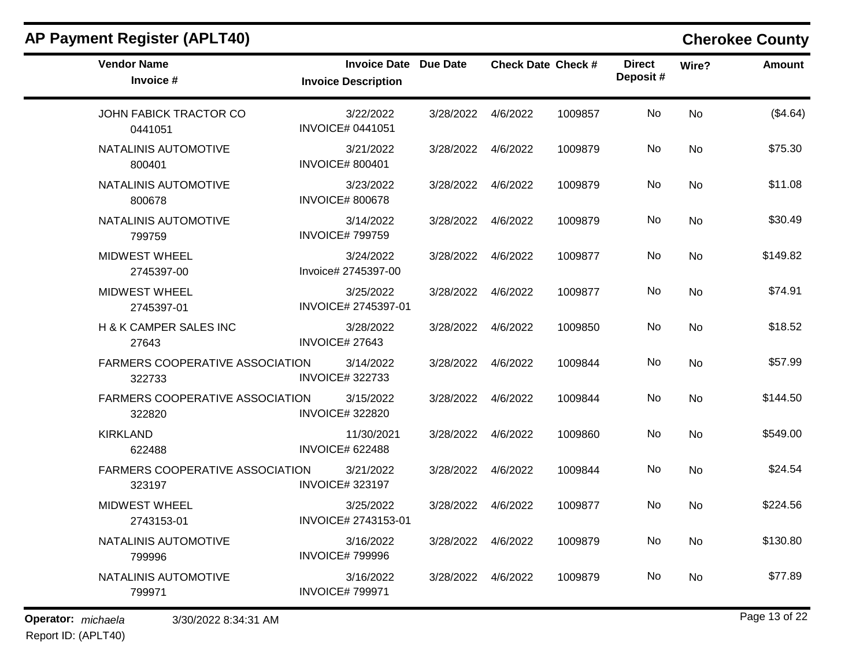| <b>Vendor Name</b><br>Invoice #                  | <b>Invoice Date Due Date</b><br><b>Invoice Description</b> |                    | <b>Check Date Check #</b> |         | <b>Direct</b><br>Deposit# | Wire?     | Amount        |
|--------------------------------------------------|------------------------------------------------------------|--------------------|---------------------------|---------|---------------------------|-----------|---------------|
| JOHN FABICK TRACTOR CO<br>0441051                | 3/22/2022<br><b>INVOICE# 0441051</b>                       | 3/28/2022 4/6/2022 |                           | 1009857 | No                        | <b>No</b> | (\$4.64)      |
| NATALINIS AUTOMOTIVE<br>800401                   | 3/21/2022<br><b>INVOICE# 800401</b>                        | 3/28/2022 4/6/2022 |                           | 1009879 | No                        | No        | \$75.30       |
| NATALINIS AUTOMOTIVE<br>800678                   | 3/23/2022<br><b>INVOICE# 800678</b>                        | 3/28/2022 4/6/2022 |                           | 1009879 | No                        | No        | \$11.08       |
| NATALINIS AUTOMOTIVE<br>799759                   | 3/14/2022<br><b>INVOICE#799759</b>                         | 3/28/2022 4/6/2022 |                           | 1009879 | No                        | No        | \$30.49       |
| <b>MIDWEST WHEEL</b><br>2745397-00               | 3/24/2022<br>Invoice# 2745397-00                           | 3/28/2022 4/6/2022 |                           | 1009877 | No                        | No        | \$149.82      |
| <b>MIDWEST WHEEL</b><br>2745397-01               | 3/25/2022<br>INVOICE# 2745397-01                           | 3/28/2022 4/6/2022 |                           | 1009877 | No                        | No        | \$74.91       |
| H & K CAMPER SALES INC<br>27643                  | 3/28/2022<br><b>INVOICE# 27643</b>                         | 3/28/2022 4/6/2022 |                           | 1009850 | No                        | <b>No</b> | \$18.52       |
| FARMERS COOPERATIVE ASSOCIATION<br>322733        | 3/14/2022<br><b>INVOICE#322733</b>                         | 3/28/2022 4/6/2022 |                           | 1009844 | No                        | No        | \$57.99       |
| <b>FARMERS COOPERATIVE ASSOCIATION</b><br>322820 | 3/15/2022<br><b>INVOICE#322820</b>                         | 3/28/2022 4/6/2022 |                           | 1009844 | No                        | <b>No</b> | \$144.50      |
| <b>KIRKLAND</b><br>622488                        | 11/30/2021<br><b>INVOICE# 622488</b>                       | 3/28/2022 4/6/2022 |                           | 1009860 | No                        | <b>No</b> | \$549.00      |
| FARMERS COOPERATIVE ASSOCIATION<br>323197        | 3/21/2022<br><b>INVOICE#323197</b>                         | 3/28/2022          | 4/6/2022                  | 1009844 | No                        | No        | \$24.54       |
| <b>MIDWEST WHEEL</b><br>2743153-01               | 3/25/2022<br>INVOICE# 2743153-01                           | 3/28/2022 4/6/2022 |                           | 1009877 | No.                       | No        | \$224.56      |
| NATALINIS AUTOMOTIVE<br>799996                   | 3/16/2022<br><b>INVOICE#799996</b>                         | 3/28/2022 4/6/2022 |                           | 1009879 | No                        | <b>No</b> | \$130.80      |
| NATALINIS AUTOMOTIVE<br>799971                   | 3/16/2022<br><b>INVOICE#799971</b>                         | 3/28/2022          | 4/6/2022                  | 1009879 | No                        | No        | \$77.89       |
| Operator: michaela<br>3/30/2022 8:34:31 AM       |                                                            |                    |                           |         |                           |           | Page 13 of 22 |

Report ID: (APLT40)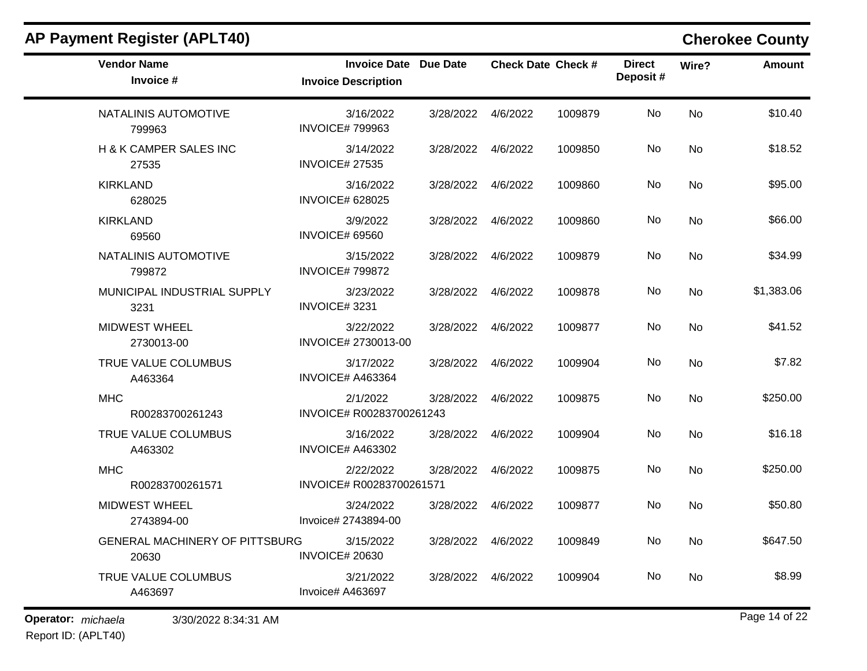| <b>Vendor Name</b><br>Invoice #            | <b>Invoice Date Due Date</b><br><b>Invoice Description</b> |                     | <b>Check Date Check #</b> |         | <b>Direct</b><br>Deposit# | Wire? | <b>Amount</b> |
|--------------------------------------------|------------------------------------------------------------|---------------------|---------------------------|---------|---------------------------|-------|---------------|
| NATALINIS AUTOMOTIVE<br>799963             | 3/16/2022<br><b>INVOICE#799963</b>                         | 3/28/2022           | 4/6/2022                  | 1009879 | No                        | No    | \$10.40       |
| H & K CAMPER SALES INC<br>27535            | 3/14/2022<br><b>INVOICE# 27535</b>                         | 3/28/2022           | 4/6/2022                  | 1009850 | No                        | No    | \$18.52       |
| <b>KIRKLAND</b><br>628025                  | 3/16/2022<br><b>INVOICE# 628025</b>                        | 3/28/2022 4/6/2022  |                           | 1009860 | No                        | No    | \$95.00       |
| <b>KIRKLAND</b><br>69560                   | 3/9/2022<br><b>INVOICE# 69560</b>                          | 3/28/2022 4/6/2022  |                           | 1009860 | No                        | No    | \$66.00       |
| NATALINIS AUTOMOTIVE<br>799872             | 3/15/2022<br><b>INVOICE#799872</b>                         | 3/28/2022 4/6/2022  |                           | 1009879 | No                        | No    | \$34.99       |
| MUNICIPAL INDUSTRIAL SUPPLY<br>3231        | 3/23/2022<br>INVOICE#3231                                  | 3/28/2022           | 4/6/2022                  | 1009878 | No                        | No    | \$1,383.06    |
| <b>MIDWEST WHEEL</b><br>2730013-00         | 3/22/2022<br>INVOICE# 2730013-00                           | 3/28/2022           | 4/6/2022                  | 1009877 | No                        | No    | \$41.52       |
| TRUE VALUE COLUMBUS<br>A463364             | 3/17/2022<br>INVOICE# A463364                              | 3/28/2022           | 4/6/2022                  | 1009904 | No                        | No    | \$7.82        |
| <b>MHC</b><br>R00283700261243              | 2/1/2022<br>INVOICE# R00283700261243                       | 3/28/2022           | 4/6/2022                  | 1009875 | No                        | No    | \$250.00      |
| TRUE VALUE COLUMBUS<br>A463302             | 3/16/2022<br><b>INVOICE# A463302</b>                       | 3/28/2022 4/6/2022  |                           | 1009904 | No                        | No    | \$16.18       |
| <b>MHC</b><br>R00283700261571              | 2/22/2022<br>INVOICE# R00283700261571                      | 3/28/2022           | 4/6/2022                  | 1009875 | No                        | No    | \$250.00      |
| <b>MIDWEST WHEEL</b><br>2743894-00         | 3/24/2022<br>Invoice# 2743894-00                           | 3/28/2022 4/6/2022  |                           | 1009877 | No                        | No    | \$50.80       |
| GENERAL MACHINERY OF PITTSBURG<br>20630    | 3/15/2022<br><b>INVOICE# 20630</b>                         | 3/28/2022  4/6/2022 |                           | 1009849 | No                        | No    | \$647.50      |
| TRUE VALUE COLUMBUS<br>A463697             | 3/21/2022<br>Invoice# A463697                              | 3/28/2022           | 4/6/2022                  | 1009904 | No                        | No    | \$8.99        |
| Operator: michaela<br>3/30/2022 8:34:31 AM |                                                            |                     |                           |         |                           |       | Page 14 of 22 |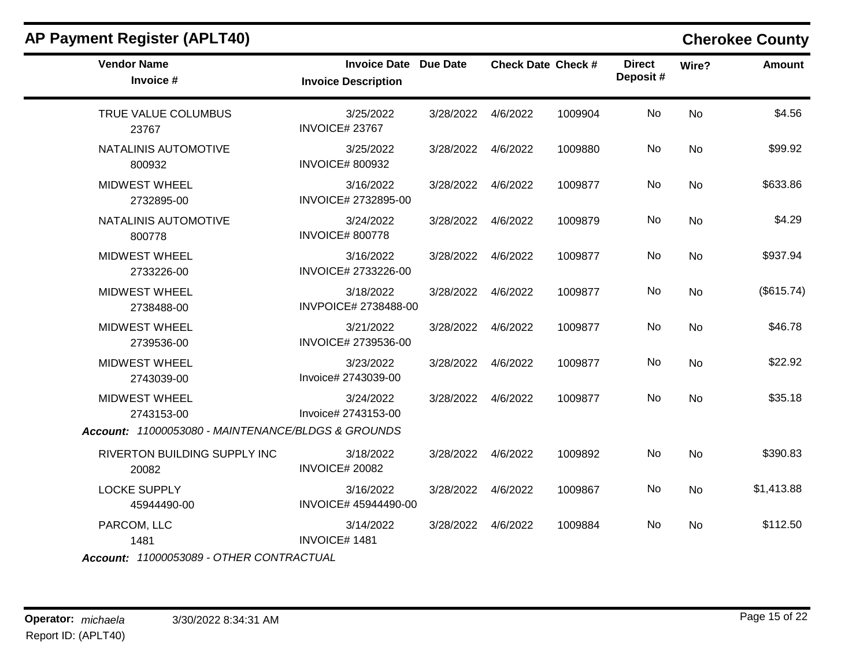| <b>Vendor Name</b><br>Invoice #                    | <b>Invoice Date</b><br><b>Invoice Description</b> | <b>Due Date</b>    |          | <b>Check Date Check #</b> | <b>Direct</b><br>Deposit# | Wire?     | Amount     |
|----------------------------------------------------|---------------------------------------------------|--------------------|----------|---------------------------|---------------------------|-----------|------------|
| TRUE VALUE COLUMBUS<br>23767                       | 3/25/2022<br>INVOICE#23767                        | 3/28/2022          | 4/6/2022 | 1009904                   | No                        | No        | \$4.56     |
| NATALINIS AUTOMOTIVE<br>800932                     | 3/25/2022<br><b>INVOICE# 800932</b>               | 3/28/2022          | 4/6/2022 | 1009880                   | No                        | No        | \$99.92    |
| <b>MIDWEST WHEEL</b><br>2732895-00                 | 3/16/2022<br>INVOICE# 2732895-00                  | 3/28/2022          | 4/6/2022 | 1009877                   | No                        | No        | \$633.86   |
| NATALINIS AUTOMOTIVE<br>800778                     | 3/24/2022<br><b>INVOICE# 800778</b>               | 3/28/2022          | 4/6/2022 | 1009879                   | No                        | No        | \$4.29     |
| <b>MIDWEST WHEEL</b><br>2733226-00                 | 3/16/2022<br>INVOICE# 2733226-00                  | 3/28/2022          | 4/6/2022 | 1009877                   | No                        | No        | \$937.94   |
| <b>MIDWEST WHEEL</b><br>2738488-00                 | 3/18/2022<br>INVPOICE# 2738488-00                 | 3/28/2022          | 4/6/2022 | 1009877                   | No                        | <b>No</b> | (\$615.74) |
| <b>MIDWEST WHEEL</b><br>2739536-00                 | 3/21/2022<br>INVOICE# 2739536-00                  | 3/28/2022          | 4/6/2022 | 1009877                   | <b>No</b>                 | <b>No</b> | \$46.78    |
| <b>MIDWEST WHEEL</b><br>2743039-00                 | 3/23/2022<br>Invoice# 2743039-00                  | 3/28/2022          | 4/6/2022 | 1009877                   | No                        | No        | \$22.92    |
| <b>MIDWEST WHEEL</b><br>2743153-00                 | 3/24/2022<br>Invoice# 2743153-00                  | 3/28/2022          | 4/6/2022 | 1009877                   | No                        | No        | \$35.18    |
| Account: 11000053080 - MAINTENANCE/BLDGS & GROUNDS |                                                   |                    |          |                           |                           |           |            |
| RIVERTON BUILDING SUPPLY INC<br>20082              | 3/18/2022<br><b>INVOICE# 20082</b>                | 3/28/2022          | 4/6/2022 | 1009892                   | No                        | <b>No</b> | \$390.83   |
| <b>LOCKE SUPPLY</b><br>45944490-00                 | 3/16/2022<br>INVOICE# 45944490-00                 | 3/28/2022          | 4/6/2022 | 1009867                   | No                        | <b>No</b> | \$1,413.88 |
| PARCOM, LLC<br>1481                                | 3/14/2022<br>INVOICE#1481                         | 3/28/2022 4/6/2022 |          | 1009884                   | No                        | <b>No</b> | \$112.50   |
| Account: 11000053089 - OTHER CONTRACTUAL           |                                                   |                    |          |                           |                           |           |            |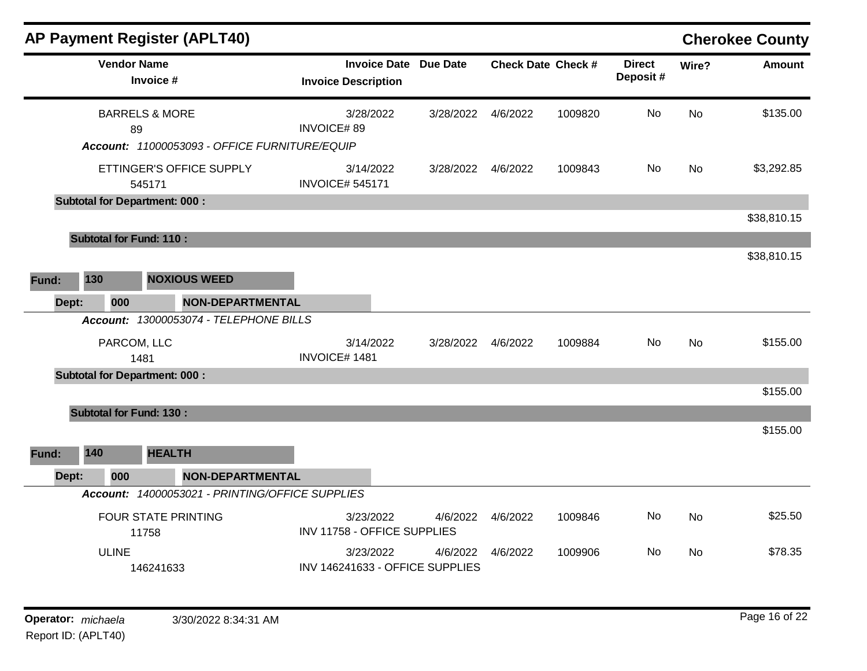|                       |                                | <b>AP Payment Register (APLT40)</b>                                                 |                                                            |                    |          |                           |                           |           | <b>Cherokee County</b> |
|-----------------------|--------------------------------|-------------------------------------------------------------------------------------|------------------------------------------------------------|--------------------|----------|---------------------------|---------------------------|-----------|------------------------|
|                       | <b>Vendor Name</b>             | Invoice #                                                                           | <b>Invoice Date Due Date</b><br><b>Invoice Description</b> |                    |          | <b>Check Date Check #</b> | <b>Direct</b><br>Deposit# | Wire?     | <b>Amount</b>          |
|                       | 89                             | <b>BARRELS &amp; MORE</b>                                                           | 3/28/2022<br><b>INVOICE#89</b>                             | 3/28/2022          | 4/6/2022 | 1009820                   | No                        | No        | \$135.00               |
|                       |                                | Account: 11000053093 - OFFICE FURNITURE/EQUIP<br>ETTINGER'S OFFICE SUPPLY<br>545171 | 3/14/2022<br><b>INVOICE# 545171</b>                        | 3/28/2022 4/6/2022 |          | 1009843                   | No.                       | No        | \$3,292.85             |
|                       |                                | <b>Subtotal for Department: 000:</b>                                                |                                                            |                    |          |                           |                           |           | \$38,810.15            |
|                       | <b>Subtotal for Fund: 110:</b> |                                                                                     |                                                            |                    |          |                           |                           |           | \$38,810.15            |
| 130<br>Fund:          |                                | <b>NOXIOUS WEED</b>                                                                 |                                                            |                    |          |                           |                           |           |                        |
| Dept:                 | 000                            | NON-DEPARTMENTAL<br>Account: 13000053074 - TELEPHONE BILLS                          |                                                            |                    |          |                           |                           |           |                        |
|                       | PARCOM, LLC<br>1481            |                                                                                     | 3/14/2022<br>INVOICE#1481                                  | 3/28/2022          | 4/6/2022 | 1009884                   | No                        | No        | \$155.00               |
|                       |                                | <b>Subtotal for Department: 000:</b>                                                |                                                            |                    |          |                           |                           |           | \$155.00               |
|                       | <b>Subtotal for Fund: 130:</b> |                                                                                     |                                                            |                    |          |                           |                           |           | \$155.00               |
| 140<br>Fund:<br>Dept: | 000                            | <b>HEALTH</b><br><b>NON-DEPARTMENTAL</b>                                            |                                                            |                    |          |                           |                           |           |                        |
|                       |                                | Account: 14000053021 - PRINTING/OFFICE SUPPLIES                                     |                                                            |                    |          |                           |                           |           |                        |
|                       | 11758                          | <b>FOUR STATE PRINTING</b>                                                          | 3/23/2022<br>INV 11758 - OFFICE SUPPLIES                   | 4/6/2022           | 4/6/2022 | 1009846                   | No                        | <b>No</b> | \$25.50                |
|                       | <b>ULINE</b>                   | 146241633                                                                           | 3/23/2022<br>INV 146241633 - OFFICE SUPPLIES               | 4/6/2022           | 4/6/2022 | 1009906                   | No                        | <b>No</b> | \$78.35                |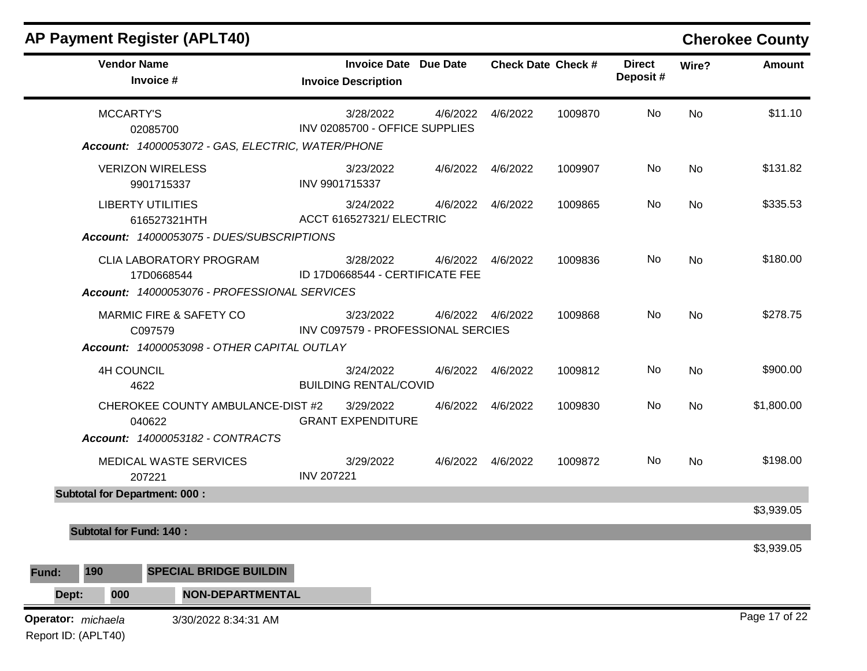|                                           | <b>Vendor Name</b><br>Invoice #                                                        | <b>Invoice Date Due Date</b><br><b>Invoice Description</b> |          |                    | <b>Check Date Check #</b> | <b>Direct</b><br>Deposit# | Wire? | <b>Amount</b> |
|-------------------------------------------|----------------------------------------------------------------------------------------|------------------------------------------------------------|----------|--------------------|---------------------------|---------------------------|-------|---------------|
|                                           | <b>MCCARTY'S</b><br>02085700<br>Account: 14000053072 - GAS, ELECTRIC, WATER/PHONE      | 3/28/2022<br>INV 02085700 - OFFICE SUPPLIES                | 4/6/2022 | 4/6/2022           | 1009870                   | No                        | No    | \$11.10       |
|                                           | <b>VERIZON WIRELESS</b><br>9901715337                                                  | 3/23/2022<br>INV 9901715337                                |          | 4/6/2022  4/6/2022 | 1009907                   | No                        | No    | \$131.82      |
|                                           | <b>LIBERTY UTILITIES</b><br>616527321HTH<br>Account: 14000053075 - DUES/SUBSCRIPTIONS  | 3/24/2022<br>ACCT 616527321/ ELECTRIC                      |          | 4/6/2022  4/6/2022 | 1009865                   | No                        | No    | \$335.53      |
|                                           | CLIA LABORATORY PROGRAM<br>17D0668544<br>Account: 14000053076 - PROFESSIONAL SERVICES  | 3/28/2022<br>ID 17D0668544 - CERTIFICATE FEE               |          | 4/6/2022  4/6/2022 | 1009836                   | No                        | No    | \$180.00      |
|                                           | MARMIC FIRE & SAFETY CO<br>C097579<br>Account: 14000053098 - OTHER CAPITAL OUTLAY      | 3/23/2022<br>INV C097579 - PROFESSIONAL SERCIES            |          | 4/6/2022 4/6/2022  | 1009868                   | No                        | No    | \$278.75      |
|                                           | <b>4H COUNCIL</b><br>4622                                                              | 3/24/2022<br><b>BUILDING RENTAL/COVID</b>                  |          | 4/6/2022  4/6/2022 | 1009812                   | No                        | No    | \$900.00      |
|                                           | CHEROKEE COUNTY AMBULANCE-DIST #2<br>040622<br><b>Account: 14000053182 - CONTRACTS</b> | 3/29/2022<br><b>GRANT EXPENDITURE</b>                      |          | 4/6/2022  4/6/2022 | 1009830                   | No                        | No    | \$1,800.00    |
|                                           | MEDICAL WASTE SERVICES<br>207221                                                       | 3/29/2022<br><b>INV 207221</b>                             |          | 4/6/2022 4/6/2022  | 1009872                   | No.                       | No    | \$198.00      |
|                                           | <b>Subtotal for Department: 000:</b>                                                   |                                                            |          |                    |                           |                           |       | \$3,939.05    |
|                                           | <b>Subtotal for Fund: 140:</b>                                                         |                                                            |          |                    |                           |                           |       |               |
| 190<br>Fund:<br>Dept:                     | <b>SPECIAL BRIDGE BUILDIN</b><br>000<br><b>NON-DEPARTMENTAL</b>                        |                                                            |          |                    |                           |                           |       | \$3,939.05    |
| Operator: michaela<br>Report ID: (APLT40) | 3/30/2022 8:34:31 AM                                                                   |                                                            |          |                    |                           |                           |       | Page 17 of 22 |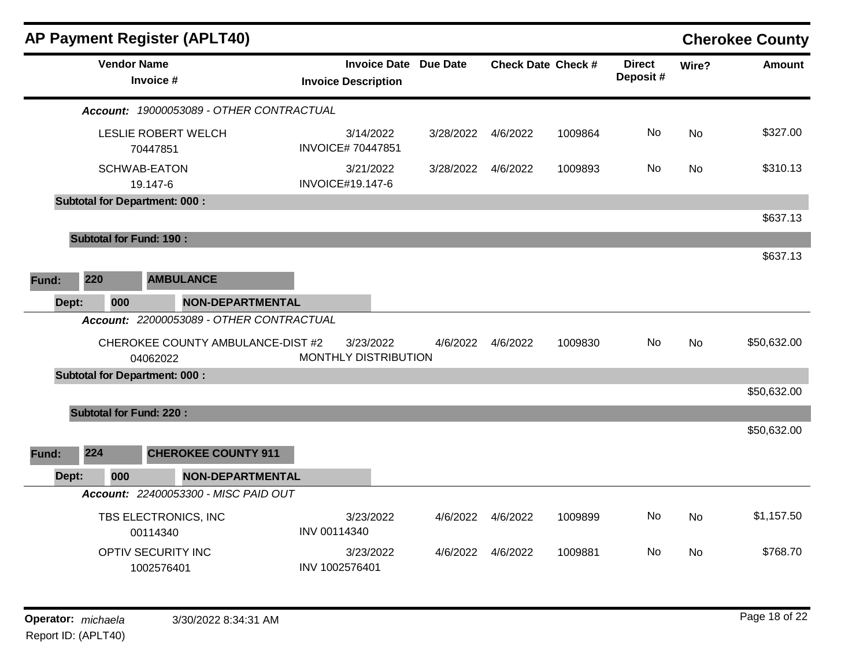| <b>AP Payment Register (APLT40)</b>           |                                                            |           |                    |                           |                           |       | <b>Cherokee County</b> |
|-----------------------------------------------|------------------------------------------------------------|-----------|--------------------|---------------------------|---------------------------|-------|------------------------|
| <b>Vendor Name</b><br>Invoice #               | <b>Invoice Date Due Date</b><br><b>Invoice Description</b> |           |                    | <b>Check Date Check #</b> | <b>Direct</b><br>Deposit# | Wire? | Amount                 |
| Account: 19000053089 - OTHER CONTRACTUAL      |                                                            |           |                    |                           |                           |       |                        |
| LESLIE ROBERT WELCH<br>70447851               | 3/14/2022<br><b>INVOICE# 70447851</b>                      | 3/28/2022 | 4/6/2022           | 1009864                   | No                        | No    | \$327.00               |
| <b>SCHWAB-EATON</b><br>19.147-6               | 3/21/2022<br><b>INVOICE#19.147-6</b>                       | 3/28/2022 | 4/6/2022           | 1009893                   | No                        | No    | \$310.13               |
| <b>Subtotal for Department: 000:</b>          |                                                            |           |                    |                           |                           |       |                        |
|                                               |                                                            |           |                    |                           |                           |       | \$637.13               |
| <b>Subtotal for Fund: 190:</b>                |                                                            |           |                    |                           |                           |       |                        |
|                                               |                                                            |           |                    |                           |                           |       | \$637.13               |
| 220<br><b>AMBULANCE</b><br>Fund:              |                                                            |           |                    |                           |                           |       |                        |
| Dept:<br>000<br><b>NON-DEPARTMENTAL</b>       |                                                            |           |                    |                           |                           |       |                        |
| Account: 22000053089 - OTHER CONTRACTUAL      |                                                            |           |                    |                           |                           |       |                        |
| CHEROKEE COUNTY AMBULANCE-DIST #2<br>04062022 | 3/23/2022<br>MONTHLY DISTRIBUTION                          | 4/6/2022  | 4/6/2022           | 1009830                   | No                        | No    | \$50,632.00            |
| <b>Subtotal for Department: 000:</b>          |                                                            |           |                    |                           |                           |       |                        |
|                                               |                                                            |           |                    |                           |                           |       | \$50,632.00            |
| <b>Subtotal for Fund: 220:</b>                |                                                            |           |                    |                           |                           |       |                        |
| 224<br><b>CHEROKEE COUNTY 911</b><br>Fund:    |                                                            |           |                    |                           |                           |       | \$50,632.00            |
| <b>NON-DEPARTMENTAL</b><br>Dept:<br>000       |                                                            |           |                    |                           |                           |       |                        |
| Account: 22400053300 - MISC PAID OUT          |                                                            |           |                    |                           |                           |       |                        |
| TBS ELECTRONICS, INC<br>00114340              | 3/23/2022<br>INV 00114340                                  | 4/6/2022  | 4/6/2022           | 1009899                   | No                        | No    | \$1,157.50             |
| OPTIV SECURITY INC<br>1002576401              | 3/23/2022<br>INV 1002576401                                |           | 4/6/2022  4/6/2022 | 1009881                   | No                        | No    | \$768.70               |
| Operator: michaela<br>3/30/2022 8:34:31 AM    |                                                            |           |                    |                           |                           |       | Page 18 of 22          |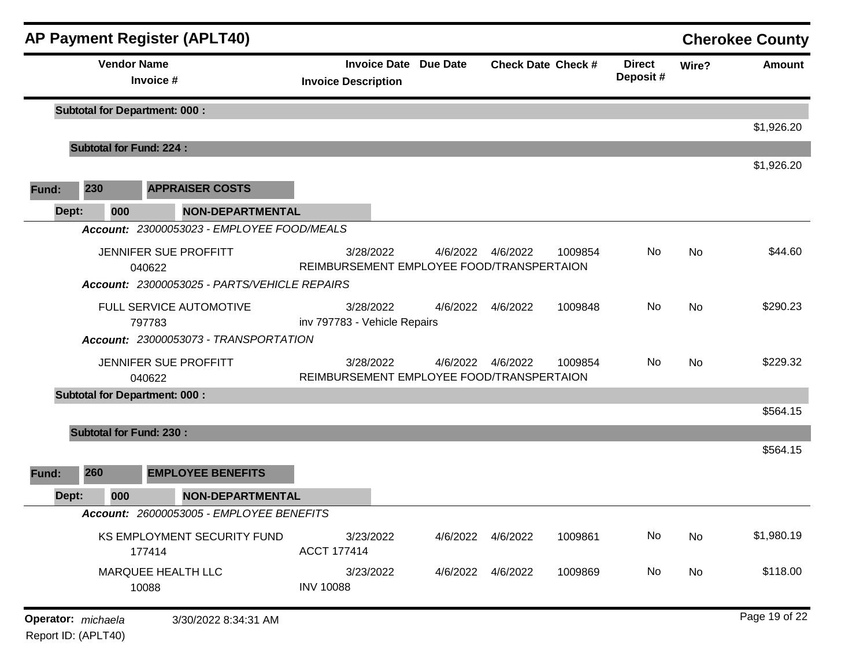|                    |       |                                | <b>AP Payment Register (APLT40)</b>          |                                                            |                           |         |                           |           | <b>Cherokee County</b> |
|--------------------|-------|--------------------------------|----------------------------------------------|------------------------------------------------------------|---------------------------|---------|---------------------------|-----------|------------------------|
|                    |       | <b>Vendor Name</b>             | Invoice #                                    | <b>Invoice Date Due Date</b><br><b>Invoice Description</b> | <b>Check Date Check #</b> |         | <b>Direct</b><br>Deposit# | Wire?     | <b>Amount</b>          |
|                    |       |                                | <b>Subtotal for Department: 000:</b>         |                                                            |                           |         |                           |           | \$1,926.20             |
|                    |       | <b>Subtotal for Fund: 224:</b> |                                              |                                                            |                           |         |                           |           |                        |
|                    |       |                                |                                              |                                                            |                           |         |                           |           | \$1,926.20             |
| Fund:              | 230   |                                | <b>APPRAISER COSTS</b>                       |                                                            |                           |         |                           |           |                        |
|                    | Dept: | 000                            | <b>NON-DEPARTMENTAL</b>                      |                                                            |                           |         |                           |           |                        |
|                    |       |                                | Account: 23000053023 - EMPLOYEE FOOD/MEALS   |                                                            |                           |         |                           |           |                        |
|                    |       | 040622                         | JENNIFER SUE PROFFITT                        | 3/28/2022<br>REIMBURSEMENT EMPLOYEE FOOD/TRANSPERTAION     | 4/6/2022  4/6/2022        | 1009854 | No                        | No        | \$44.60                |
|                    |       |                                | Account: 23000053025 - PARTS/VEHICLE REPAIRS |                                                            |                           |         |                           |           |                        |
|                    |       | 797783                         | FULL SERVICE AUTOMOTIVE                      | 3/28/2022<br>inv 797783 - Vehicle Repairs                  | 4/6/2022 4/6/2022         | 1009848 | No                        | No        | \$290.23               |
|                    |       |                                | Account: 23000053073 - TRANSPORTATION        |                                                            |                           |         |                           |           |                        |
|                    |       | 040622                         | JENNIFER SUE PROFFITT                        | 3/28/2022<br>REIMBURSEMENT EMPLOYEE FOOD/TRANSPERTAION     | 4/6/2022  4/6/2022        | 1009854 | No                        | <b>No</b> | \$229.32               |
|                    |       |                                | <b>Subtotal for Department: 000:</b>         |                                                            |                           |         |                           |           |                        |
|                    |       |                                |                                              |                                                            |                           |         |                           |           | \$564.15               |
|                    |       | <b>Subtotal for Fund: 230:</b> |                                              |                                                            |                           |         |                           |           |                        |
|                    |       |                                |                                              |                                                            |                           |         |                           |           | \$564.15               |
| Fund:              | 260   |                                | <b>EMPLOYEE BENEFITS</b>                     |                                                            |                           |         |                           |           |                        |
|                    | Dept: | 000                            | <b>NON-DEPARTMENTAL</b>                      |                                                            |                           |         |                           |           |                        |
|                    |       |                                | Account: 26000053005 - EMPLOYEE BENEFITS     |                                                            |                           |         |                           |           |                        |
|                    |       |                                | KS EMPLOYMENT SECURITY FUND<br>177414        | 3/23/2022<br><b>ACCT 177414</b>                            | 4/6/2022  4/6/2022        | 1009861 | No                        | No        | \$1,980.19             |
|                    |       | 10088                          | MARQUEE HEALTH LLC                           | 3/23/2022<br><b>INV 10088</b>                              | 4/6/2022  4/6/2022        | 1009869 | No                        | No        | \$118.00               |
| Operator: michaela |       |                                | 3/30/2022 8:34:31 AM                         |                                                            |                           |         |                           |           | Page 19 of 22          |

Report ID: (APLT40)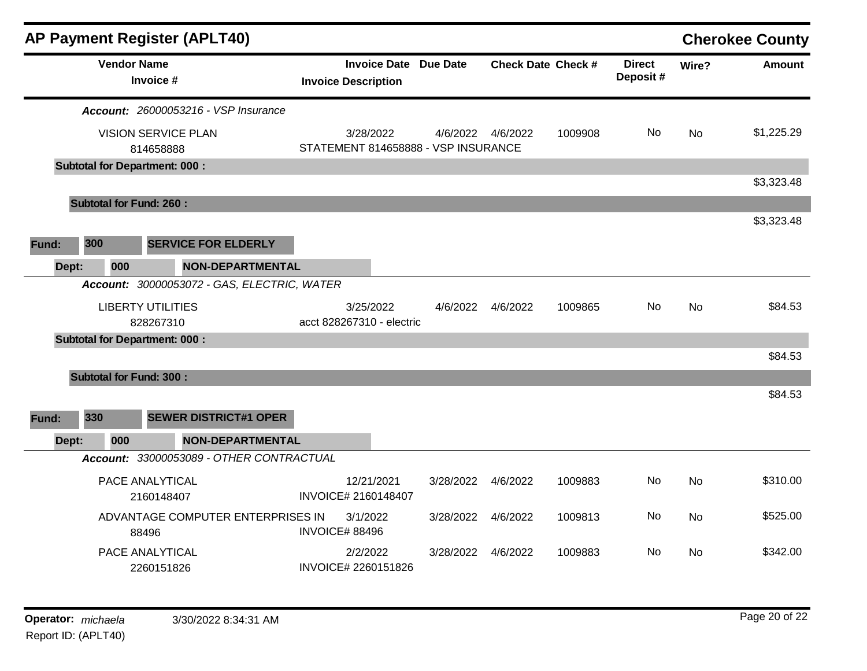|       |                                | <b>AP Payment Register (APLT40)</b>         |                                                            |           |                   |                           |                           |           | <b>Cherokee County</b> |
|-------|--------------------------------|---------------------------------------------|------------------------------------------------------------|-----------|-------------------|---------------------------|---------------------------|-----------|------------------------|
|       | <b>Vendor Name</b>             | Invoice #                                   | <b>Invoice Date Due Date</b><br><b>Invoice Description</b> |           |                   | <b>Check Date Check #</b> | <b>Direct</b><br>Deposit# | Wire?     | <b>Amount</b>          |
|       |                                | <b>Account: 26000053216 - VSP Insurance</b> |                                                            |           |                   |                           |                           |           |                        |
|       |                                | <b>VISION SERVICE PLAN</b><br>814658888     | 3/28/2022<br>STATEMENT 814658888 - VSP INSURANCE           |           | 4/6/2022 4/6/2022 | 1009908                   | <b>No</b>                 | No        | \$1,225.29             |
|       |                                | <b>Subtotal for Department: 000:</b>        |                                                            |           |                   |                           |                           |           |                        |
|       |                                |                                             |                                                            |           |                   |                           |                           |           | \$3,323.48             |
|       | <b>Subtotal for Fund: 260:</b> |                                             |                                                            |           |                   |                           |                           |           |                        |
|       |                                |                                             |                                                            |           |                   |                           |                           |           | \$3,323.48             |
| Fund: | 300                            | <b>SERVICE FOR ELDERLY</b>                  |                                                            |           |                   |                           |                           |           |                        |
| Dept: | 000                            | <b>NON-DEPARTMENTAL</b>                     |                                                            |           |                   |                           |                           |           |                        |
|       |                                | Account: 30000053072 - GAS, ELECTRIC, WATER |                                                            |           |                   |                           |                           |           |                        |
|       |                                | <b>LIBERTY UTILITIES</b><br>828267310       | 3/25/2022<br>acct 828267310 - electric                     |           | 4/6/2022 4/6/2022 | 1009865                   | No.                       | <b>No</b> | \$84.53                |
|       |                                | <b>Subtotal for Department: 000:</b>        |                                                            |           |                   |                           |                           |           |                        |
|       |                                |                                             |                                                            |           |                   |                           |                           |           | \$84.53                |
|       | <b>Subtotal for Fund: 300:</b> |                                             |                                                            |           |                   |                           |                           |           |                        |
|       |                                |                                             |                                                            |           |                   |                           |                           |           | \$84.53                |
| Fund: | 330                            | <b>SEWER DISTRICT#1 OPER</b>                |                                                            |           |                   |                           |                           |           |                        |
| Dept: | 000                            | <b>NON-DEPARTMENTAL</b>                     |                                                            |           |                   |                           |                           |           |                        |
|       |                                | Account: 33000053089 - OTHER CONTRACTUAL    |                                                            |           |                   |                           |                           |           |                        |
|       |                                | PACE ANALYTICAL<br>2160148407               | 12/21/2021<br>INVOICE# 2160148407                          | 3/28/2022 | 4/6/2022          | 1009883                   | No                        | <b>No</b> | \$310.00               |
|       |                                | ADVANTAGE COMPUTER ENTERPRISES IN<br>88496  | 3/1/2022<br><b>INVOICE# 88496</b>                          | 3/28/2022 | 4/6/2022          | 1009813                   | No                        | No        | \$525.00               |
|       |                                | PACE ANALYTICAL<br>2260151826               | 2/2/2022<br>INVOICE# 2260151826                            | 3/28/2022 | 4/6/2022          | 1009883                   | No                        | No.       | \$342.00               |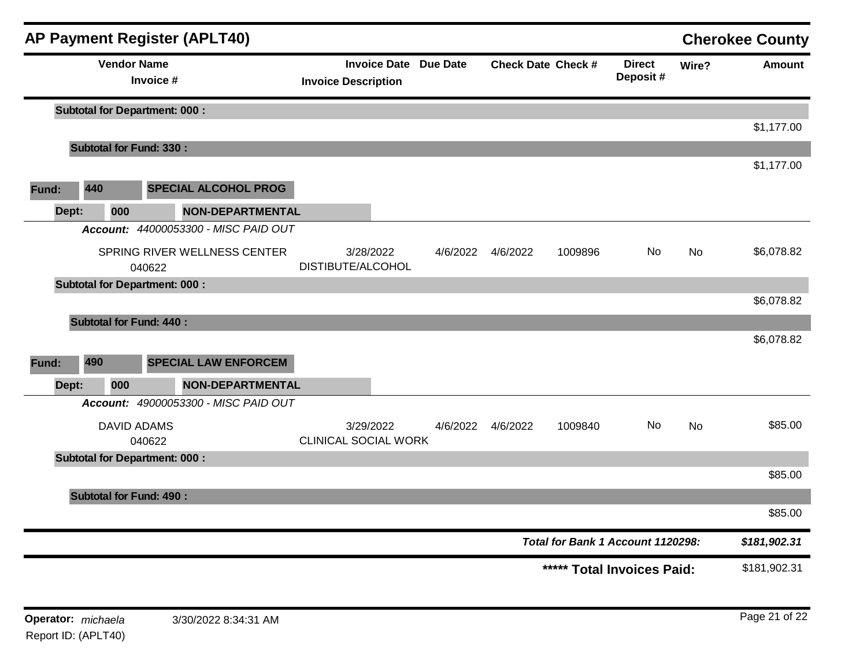|       |     |     | <b>AP Payment Register (APLT40)</b>    |                                          |                              |          |                                   |                           |           | <b>Cherokee County</b> |
|-------|-----|-----|----------------------------------------|------------------------------------------|------------------------------|----------|-----------------------------------|---------------------------|-----------|------------------------|
|       |     |     | <b>Vendor Name</b><br>Invoice #        | <b>Invoice Description</b>               | <b>Invoice Date Due Date</b> |          | <b>Check Date Check #</b>         | <b>Direct</b><br>Deposit# | Wire?     | <b>Amount</b>          |
|       |     |     | <b>Subtotal for Department: 000:</b>   |                                          |                              |          |                                   |                           |           | \$1,177.00             |
|       |     |     | <b>Subtotal for Fund: 330:</b>         |                                          |                              |          |                                   |                           |           |                        |
|       |     |     |                                        |                                          |                              |          |                                   |                           |           | \$1,177.00             |
| Fund: | 440 |     | <b>SPECIAL ALCOHOL PROG</b>            |                                          |                              |          |                                   |                           |           |                        |
| Dept: |     | 000 | NON-DEPARTMENTAL                       |                                          |                              |          |                                   |                           |           |                        |
|       |     |     | Account: 44000053300 - MISC PAID OUT   |                                          |                              |          |                                   |                           |           |                        |
|       |     |     | SPRING RIVER WELLNESS CENTER<br>040622 | 3/28/2022<br>DISTIBUTE/ALCOHOL           | 4/6/2022                     | 4/6/2022 | 1009896                           | No.                       | No        | \$6,078.82             |
|       |     |     | <b>Subtotal for Department: 000:</b>   |                                          |                              |          |                                   |                           |           |                        |
|       |     |     |                                        |                                          |                              |          |                                   |                           |           | \$6,078.82             |
|       |     |     | <b>Subtotal for Fund: 440:</b>         |                                          |                              |          |                                   |                           |           |                        |
|       |     |     |                                        |                                          |                              |          |                                   |                           |           | \$6,078.82             |
| Fund: | 490 |     | <b>SPECIAL LAW ENFORCEM</b>            |                                          |                              |          |                                   |                           |           |                        |
| Dept: |     | 000 | NON-DEPARTMENTAL                       |                                          |                              |          |                                   |                           |           |                        |
|       |     |     | Account: 49000053300 - MISC PAID OUT   |                                          |                              |          |                                   |                           |           |                        |
|       |     |     | <b>DAVID ADAMS</b><br>040622           | 3/29/2022<br><b>CLINICAL SOCIAL WORK</b> | 4/6/2022                     | 4/6/2022 | 1009840                           | No                        | <b>No</b> | \$85.00                |
|       |     |     | <b>Subtotal for Department: 000:</b>   |                                          |                              |          |                                   |                           |           |                        |
|       |     |     |                                        |                                          |                              |          |                                   |                           |           | \$85.00                |
|       |     |     | <b>Subtotal for Fund: 490:</b>         |                                          |                              |          |                                   |                           |           |                        |
|       |     |     |                                        |                                          |                              |          |                                   |                           |           | \$85.00                |
|       |     |     |                                        |                                          |                              |          | Total for Bank 1 Account 1120298: |                           |           | \$181,902.31           |
|       |     |     |                                        |                                          |                              |          | ***** Total Invoices Paid:        |                           |           | \$181,902.31           |